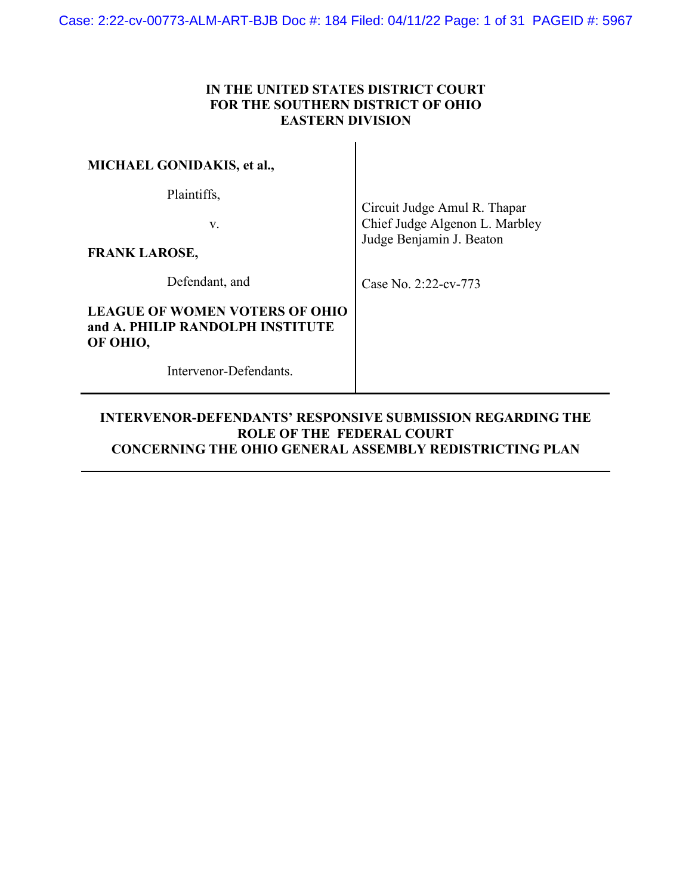### **IN THE UNITED STATES DISTRICT COURT FOR THE SOUTHERN DISTRICT OF OHIO EASTERN DIVISION**

| <b>MICHAEL GONIDAKIS, et al.,</b>                                              |                                                                                            |  |
|--------------------------------------------------------------------------------|--------------------------------------------------------------------------------------------|--|
| Plaintiffs,<br>V.<br><b>FRANK LAROSE,</b>                                      | Circuit Judge Amul R. Thapar<br>Chief Judge Algenon L. Marbley<br>Judge Benjamin J. Beaton |  |
| Defendant, and                                                                 | Case No. 2:22-cv-773                                                                       |  |
| LEAGUE OF WOMEN VOTERS OF OHIO<br>and A. PHILIP RANDOLPH INSTITUTE<br>OF OHIO, |                                                                                            |  |
| Intervenor-Defendants.                                                         |                                                                                            |  |

### **INTERVENOR-DEFENDANTS' RESPONSIVE SUBMISSION REGARDING THE ROLE OF THE FEDERAL COURT CONCERNING THE OHIO GENERAL ASSEMBLY REDISTRICTING PLAN**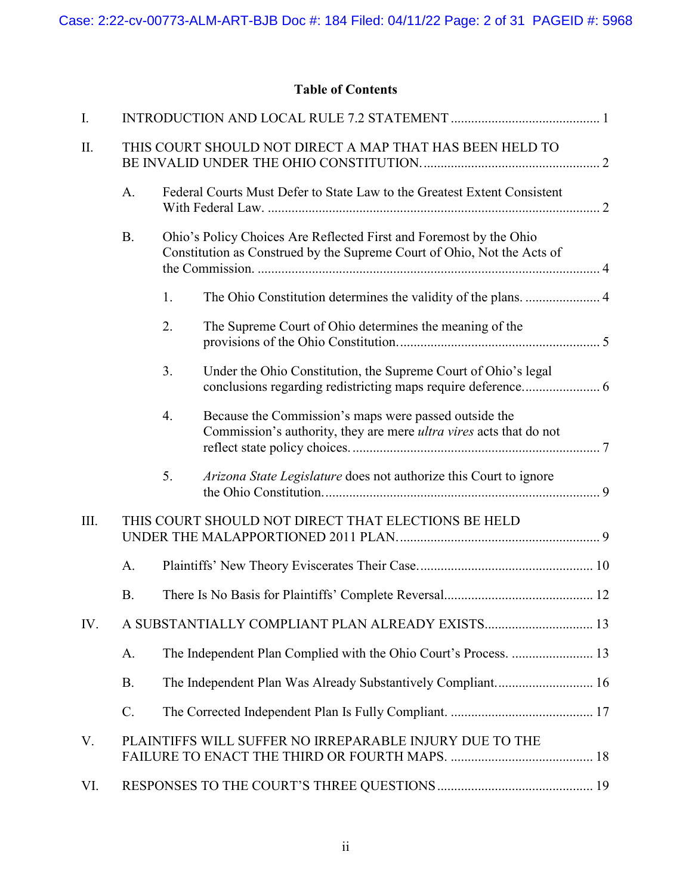# **Table of Contents**

| I.   |                                                          |                                                                                                                                               |                                                                                                                             |  |  |  |  |
|------|----------------------------------------------------------|-----------------------------------------------------------------------------------------------------------------------------------------------|-----------------------------------------------------------------------------------------------------------------------------|--|--|--|--|
| П.   | THIS COURT SHOULD NOT DIRECT A MAP THAT HAS BEEN HELD TO |                                                                                                                                               |                                                                                                                             |  |  |  |  |
|      | A.                                                       | Federal Courts Must Defer to State Law to the Greatest Extent Consistent                                                                      |                                                                                                                             |  |  |  |  |
|      | <b>B.</b>                                                | Ohio's Policy Choices Are Reflected First and Foremost by the Ohio<br>Constitution as Construed by the Supreme Court of Ohio, Not the Acts of |                                                                                                                             |  |  |  |  |
|      |                                                          | 1.                                                                                                                                            |                                                                                                                             |  |  |  |  |
|      |                                                          | 2.                                                                                                                                            | The Supreme Court of Ohio determines the meaning of the                                                                     |  |  |  |  |
|      |                                                          | 3.                                                                                                                                            | Under the Ohio Constitution, the Supreme Court of Ohio's legal                                                              |  |  |  |  |
|      |                                                          | 4.                                                                                                                                            | Because the Commission's maps were passed outside the<br>Commission's authority, they are mere ultra vires acts that do not |  |  |  |  |
|      |                                                          | 5.                                                                                                                                            | Arizona State Legislature does not authorize this Court to ignore                                                           |  |  |  |  |
| III. | THIS COURT SHOULD NOT DIRECT THAT ELECTIONS BE HELD      |                                                                                                                                               |                                                                                                                             |  |  |  |  |
| A.   |                                                          |                                                                                                                                               |                                                                                                                             |  |  |  |  |
|      | <b>B.</b>                                                |                                                                                                                                               |                                                                                                                             |  |  |  |  |
| IV.  |                                                          |                                                                                                                                               |                                                                                                                             |  |  |  |  |
|      | A.                                                       |                                                                                                                                               |                                                                                                                             |  |  |  |  |
|      | <b>B.</b>                                                |                                                                                                                                               |                                                                                                                             |  |  |  |  |
|      | $\mathcal{C}$ .                                          |                                                                                                                                               |                                                                                                                             |  |  |  |  |
| V.   | PLAINTIFFS WILL SUFFER NO IRREPARABLE INJURY DUE TO THE  |                                                                                                                                               |                                                                                                                             |  |  |  |  |
| VI.  |                                                          |                                                                                                                                               |                                                                                                                             |  |  |  |  |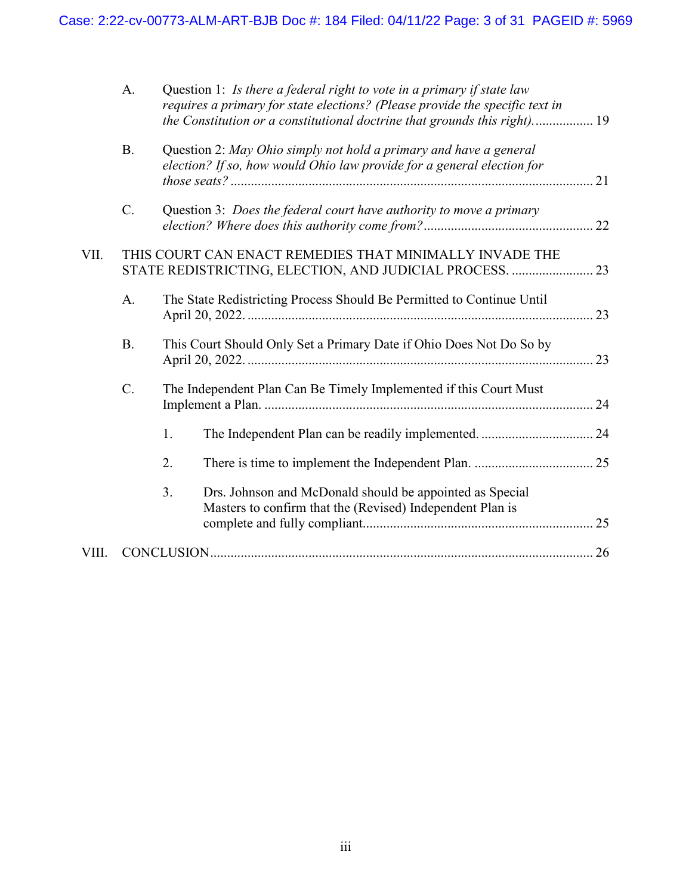|       | A.             |                                                                     | Question 1: Is there a federal right to vote in a primary if state law<br>requires a primary for state elections? (Please provide the specific text in<br>the Constitution or a constitutional doctrine that grounds this right) 19 |  |
|-------|----------------|---------------------------------------------------------------------|-------------------------------------------------------------------------------------------------------------------------------------------------------------------------------------------------------------------------------------|--|
|       | B.             |                                                                     | Question 2: May Ohio simply not hold a primary and have a general<br>election? If so, how would Ohio law provide for a general election for                                                                                         |  |
|       | C.             |                                                                     | Question 3: Does the federal court have authority to move a primary                                                                                                                                                                 |  |
| VII.  |                |                                                                     | THIS COURT CAN ENACT REMEDIES THAT MINIMALLY INVADE THE<br>STATE REDISTRICTING, ELECTION, AND JUDICIAL PROCESS.  23                                                                                                                 |  |
|       | A.             |                                                                     | The State Redistricting Process Should Be Permitted to Continue Until                                                                                                                                                               |  |
|       | <b>B.</b>      | This Court Should Only Set a Primary Date if Ohio Does Not Do So by |                                                                                                                                                                                                                                     |  |
|       | $\mathbf{C}$ . |                                                                     | The Independent Plan Can Be Timely Implemented if this Court Must                                                                                                                                                                   |  |
|       |                | 1.                                                                  |                                                                                                                                                                                                                                     |  |
|       |                | 2.                                                                  |                                                                                                                                                                                                                                     |  |
|       |                | 3.                                                                  | Drs. Johnson and McDonald should be appointed as Special<br>Masters to confirm that the (Revised) Independent Plan is                                                                                                               |  |
| VIII. |                |                                                                     |                                                                                                                                                                                                                                     |  |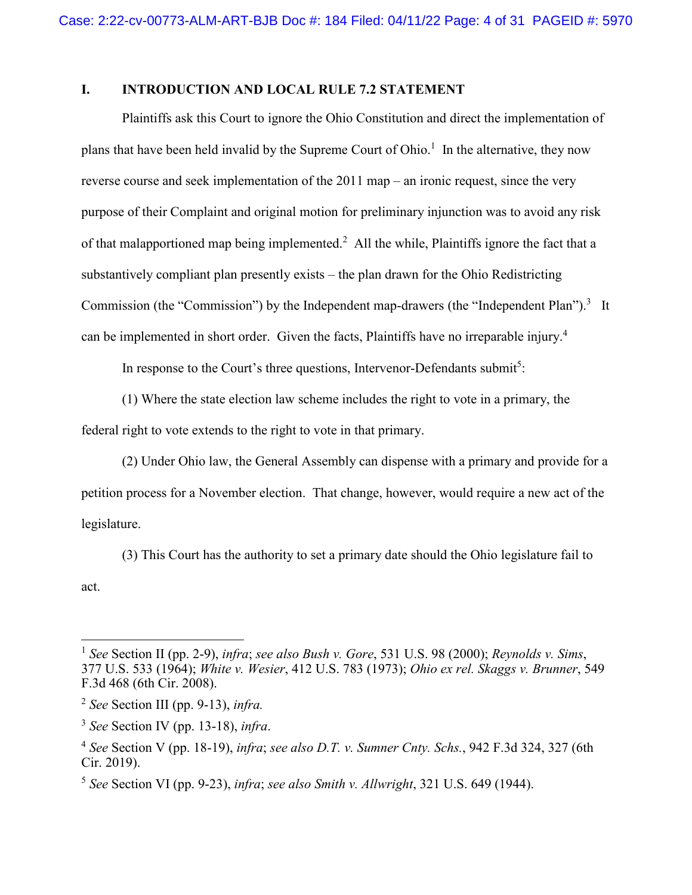# <span id="page-3-0"></span>**I. INTRODUCTION AND LOCAL RULE 7.2 STATEMENT**

Plaintiffs ask this Court to ignore the Ohio Constitution and direct the implementation of plans that have been held invalid by the Supreme Court of Ohio.<sup>1</sup> In the alternative, they now reverse course and seek implementation of the 2011 map – an ironic request, since the very purpose of their Complaint and original motion for preliminary injunction was to avoid any risk of that malapportioned map being implemented.<sup>2</sup> All the while, Plaintiffs ignore the fact that a substantively compliant plan presently exists – the plan drawn for the Ohio Redistricting Commission (the "Commission") by the Independent map-drawers (the "Independent Plan").<sup>3</sup> It can be implemented in short order. Given the facts, Plaintiffs have no irreparable injury.<sup>4</sup>

In response to the Court's three questions, Intervenor-Defendants submit<sup>5</sup>:

(1) Where the state election law scheme includes the right to vote in a primary, the

federal right to vote extends to the right to vote in that primary.

(2) Under Ohio law, the General Assembly can dispense with a primary and provide for a petition process for a November election. That change, however, would require a new act of the legislature.

(3) This Court has the authority to set a primary date should the Ohio legislature fail to act.

 $\overline{a}$ 

<sup>1</sup>  *See* Section II (pp. 2-9), *infra*; *see also Bush v. Gore*, 531 U.S. 98 (2000); *Reynolds v. Sims*, 377 U.S. 533 (1964); *White v. Wesier*, 412 U.S. 783 (1973); *Ohio ex rel. Skaggs v. Brunner*, 549 F.3d 468 (6th Cir. 2008).

<sup>2</sup> *See* Section III (pp. 9-13), *infra.*

<sup>3</sup> *See* Section IV (pp. 13-18), *infra*.

<sup>4</sup> *See* Section V (pp. 18-19), *infra*; *see also D.T. v. Sumner Cnty. Schs.*, 942 F.3d 324, 327 (6th Cir. 2019).

<sup>5</sup> *See* Section VI (pp. 9-23), *infra*; *see also Smith v. Allwright*, 321 U.S. 649 (1944).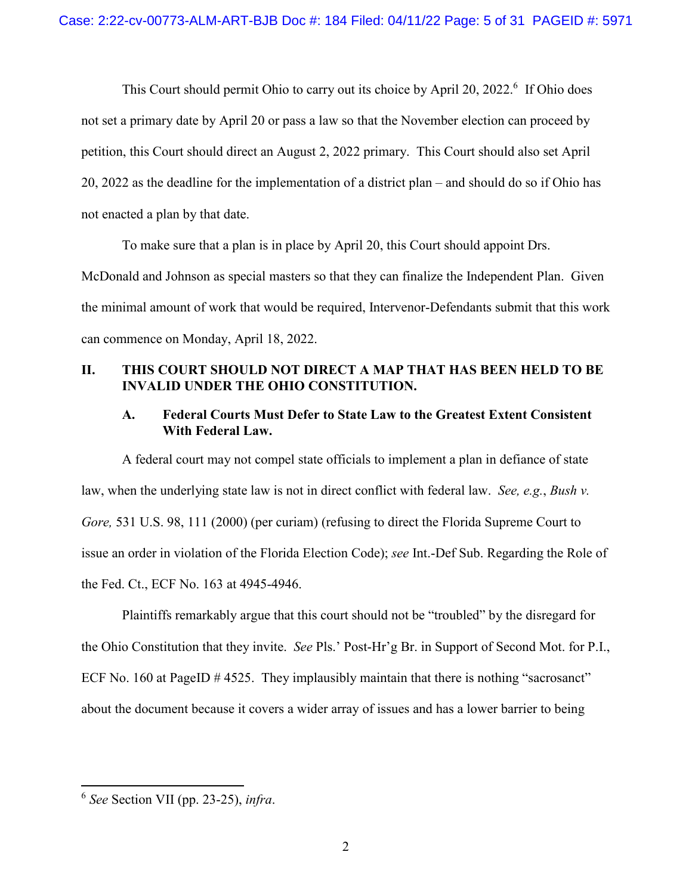This Court should permit Ohio to carry out its choice by April 20, 2022.<sup>6</sup> If Ohio does not set a primary date by April 20 or pass a law so that the November election can proceed by petition, this Court should direct an August 2, 2022 primary. This Court should also set April 20, 2022 as the deadline for the implementation of a district plan – and should do so if Ohio has not enacted a plan by that date.

To make sure that a plan is in place by April 20, this Court should appoint Drs. McDonald and Johnson as special masters so that they can finalize the Independent Plan. Given the minimal amount of work that would be required, Intervenor-Defendants submit that this work can commence on Monday, April 18, 2022.

### <span id="page-4-0"></span>**II. THIS COURT SHOULD NOT DIRECT A MAP THAT HAS BEEN HELD TO BE INVALID UNDER THE OHIO CONSTITUTION.**

### <span id="page-4-1"></span>**A. Federal Courts Must Defer to State Law to the Greatest Extent Consistent With Federal Law.**

A federal court may not compel state officials to implement a plan in defiance of state law, when the underlying state law is not in direct conflict with federal law. *See, e.g.*, *Bush v. Gore,* 531 U.S. 98, 111 (2000) (per curiam) (refusing to direct the Florida Supreme Court to issue an order in violation of the Florida Election Code); *see* Int.-Def Sub. Regarding the Role of the Fed. Ct., ECF No. 163 at 4945-4946.

Plaintiffs remarkably argue that this court should not be "troubled" by the disregard for the Ohio Constitution that they invite. *See* Pls.' Post-Hr'g Br. in Support of Second Mot. for P.I., ECF No. 160 at PageID  $\#$  4525. They implausibly maintain that there is nothing "sacrosanct" about the document because it covers a wider array of issues and has a lower barrier to being

 6  *See* Section VII (pp. 23-25), *infra*.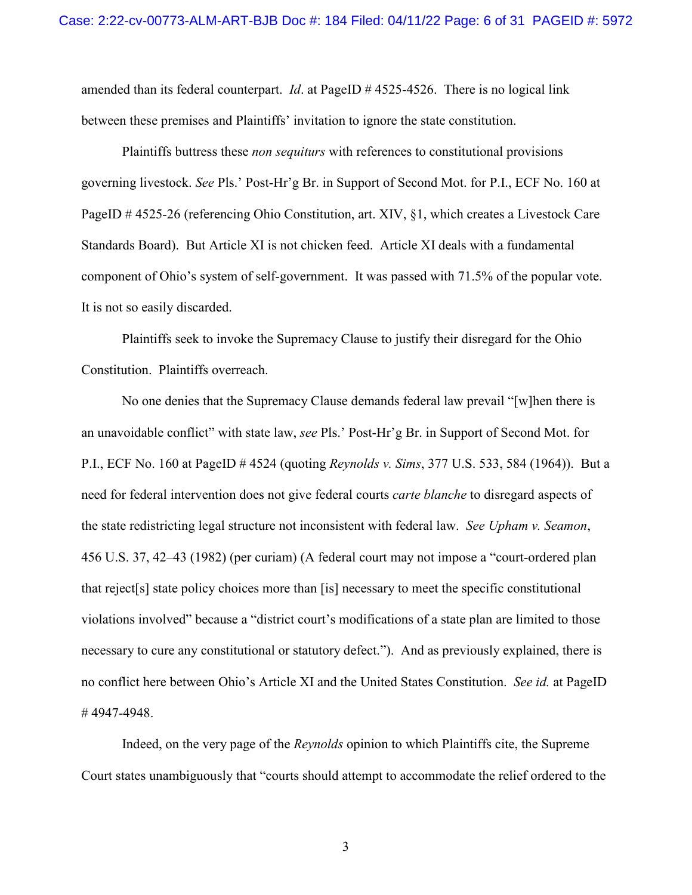amended than its federal counterpart. *Id*. at PageID # 4525-4526. There is no logical link between these premises and Plaintiffs' invitation to ignore the state constitution.

Plaintiffs buttress these *non sequiturs* with references to constitutional provisions governing livestock. *See* Pls.' Post-Hr'g Br. in Support of Second Mot. for P.I., ECF No. 160 at PageID # 4525-26 (referencing Ohio Constitution, art. XIV, §1, which creates a Livestock Care Standards Board). But Article XI is not chicken feed. Article XI deals with a fundamental component of Ohio's system of self-government. It was passed with 71.5% of the popular vote. It is not so easily discarded.

Plaintiffs seek to invoke the Supremacy Clause to justify their disregard for the Ohio Constitution. Plaintiffs overreach.

No one denies that the Supremacy Clause demands federal law prevail "[w]hen there is an unavoidable conflict" with state law, *see* Pls.' Post-Hr'g Br. in Support of Second Mot. for P.I., ECF No. 160 at PageID # 4524 (quoting *Reynolds v. Sims*, 377 U.S. 533, 584 (1964)). But a need for federal intervention does not give federal courts *carte blanche* to disregard aspects of the state redistricting legal structure not inconsistent with federal law. *See Upham v. Seamon*, 456 U.S. 37, 42–43 (1982) (per curiam) (A federal court may not impose a "court-ordered plan that reject[s] state policy choices more than [is] necessary to meet the specific constitutional violations involved" because a "district court's modifications of a state plan are limited to those necessary to cure any constitutional or statutory defect."). And as previously explained, there is no conflict here between Ohio's Article XI and the United States Constitution. *See id.* at PageID # 4947-4948.

Indeed, on the very page of the *Reynolds* opinion to which Plaintiffs cite, the Supreme Court states unambiguously that "courts should attempt to accommodate the relief ordered to the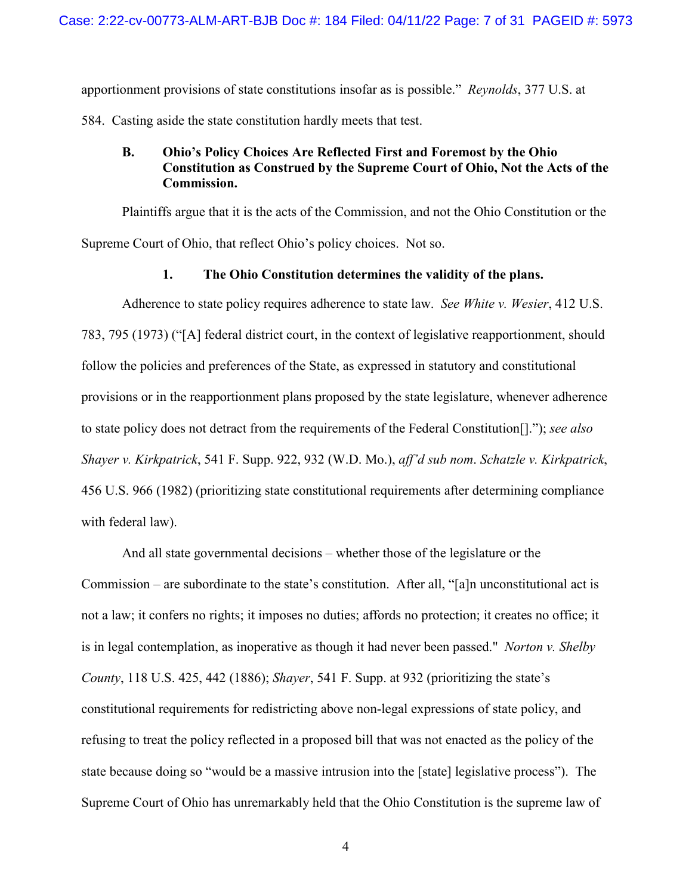apportionment provisions of state constitutions insofar as is possible." *Reynolds*, 377 U.S. at

<span id="page-6-0"></span>584. Casting aside the state constitution hardly meets that test.

# **B. Ohio's Policy Choices Are Reflected First and Foremost by the Ohio Constitution as Construed by the Supreme Court of Ohio, Not the Acts of the Commission.**

Plaintiffs argue that it is the acts of the Commission, and not the Ohio Constitution or the Supreme Court of Ohio, that reflect Ohio's policy choices. Not so.

# **1. The Ohio Constitution determines the validity of the plans.**

<span id="page-6-1"></span>Adherence to state policy requires adherence to state law. *See White v. Wesier*, 412 U.S. 783, 795 (1973) ("[A] federal district court, in the context of legislative reapportionment, should follow the policies and preferences of the State, as expressed in statutory and constitutional provisions or in the reapportionment plans proposed by the state legislature, whenever adherence to state policy does not detract from the requirements of the Federal Constitution[]."); *see also Shayer v. Kirkpatrick*, 541 F. Supp. 922, 932 (W.D. Mo.), *aff'd sub nom*. *Schatzle v. Kirkpatrick*, 456 U.S. 966 (1982) (prioritizing state constitutional requirements after determining compliance with federal law).

And all state governmental decisions – whether those of the legislature or the Commission – are subordinate to the state's constitution. After all, "[a]n unconstitutional act is not a law; it confers no rights; it imposes no duties; affords no protection; it creates no office; it is in legal contemplation, as inoperative as though it had never been passed." *Norton v. Shelby County*, 118 U.S. 425, 442 (1886); *Shayer*, 541 F. Supp. at 932 (prioritizing the state's constitutional requirements for redistricting above non-legal expressions of state policy, and refusing to treat the policy reflected in a proposed bill that was not enacted as the policy of the state because doing so "would be a massive intrusion into the [state] legislative process"). The Supreme Court of Ohio has unremarkably held that the Ohio Constitution is the supreme law of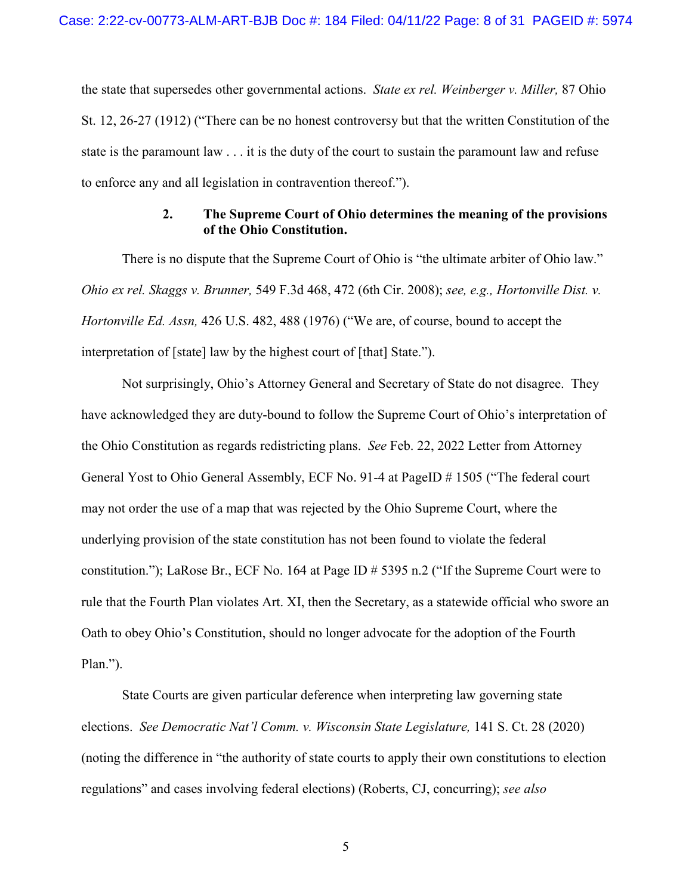the state that supersedes other governmental actions. *State ex rel. Weinberger v. Miller,* 87 Ohio St. 12, 26-27 (1912) ("There can be no honest controversy but that the written Constitution of the state is the paramount law . . . it is the duty of the court to sustain the paramount law and refuse to enforce any and all legislation in contravention thereof.").

### **2. The Supreme Court of Ohio determines the meaning of the provisions of the Ohio Constitution.**

<span id="page-7-0"></span>There is no dispute that the Supreme Court of Ohio is "the ultimate arbiter of Ohio law." *Ohio ex rel. Skaggs v. Brunner,* 549 F.3d 468, 472 (6th Cir. 2008); *see, e.g., Hortonville Dist. v. Hortonville Ed. Assn,* 426 U.S. 482, 488 (1976) ("We are, of course, bound to accept the interpretation of [state] law by the highest court of [that] State.").

Not surprisingly, Ohio's Attorney General and Secretary of State do not disagree. They have acknowledged they are duty-bound to follow the Supreme Court of Ohio's interpretation of the Ohio Constitution as regards redistricting plans. *See* Feb. 22, 2022 Letter from Attorney General Yost to Ohio General Assembly, ECF No. 91-4 at PageID # 1505 ("The federal court may not order the use of a map that was rejected by the Ohio Supreme Court, where the underlying provision of the state constitution has not been found to violate the federal constitution."); LaRose Br., ECF No. 164 at Page ID # 5395 n.2 ("If the Supreme Court were to rule that the Fourth Plan violates Art. XI, then the Secretary, as a statewide official who swore an Oath to obey Ohio's Constitution, should no longer advocate for the adoption of the Fourth Plan.").

State Courts are given particular deference when interpreting law governing state elections. *See Democratic Nat'l Comm. v. Wisconsin State Legislature*, 141 S. Ct. 28 (2020) (noting the difference in "the authority of state courts to apply their own constitutions to election regulations" and cases involving federal elections) (Roberts, CJ, concurring); *see also*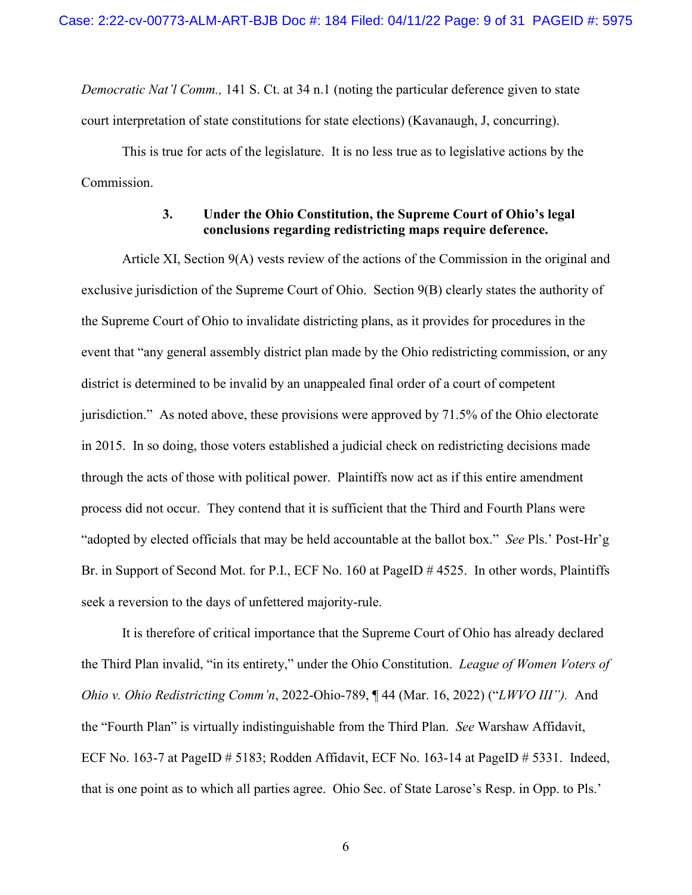*Democratic Nat'l Comm.,* 141 S. Ct. at 34 n.1 (noting the particular deference given to state court interpretation of state constitutions for state elections) (Kavanaugh, J, concurring).

This is true for acts of the legislature. It is no less true as to legislative actions by the Commission.

### **3. Under the Ohio Constitution, the Supreme Court of Ohio's legal conclusions regarding redistricting maps require deference.**

<span id="page-8-0"></span>Article XI, Section 9(A) vests review of the actions of the Commission in the original and exclusive jurisdiction of the Supreme Court of Ohio. Section 9(B) clearly states the authority of the Supreme Court of Ohio to invalidate districting plans, as it provides for procedures in the event that "any general assembly district plan made by the Ohio redistricting commission, or any district is determined to be invalid by an unappealed final order of a court of competent jurisdiction." As noted above, these provisions were approved by 71.5% of the Ohio electorate in 2015. In so doing, those voters established a judicial check on redistricting decisions made through the acts of those with political power. Plaintiffs now act as if this entire amendment process did not occur. They contend that it is sufficient that the Third and Fourth Plans were "adopted by elected officials that may be held accountable at the ballot box." *See* Pls.' Post-Hr'g Br. in Support of Second Mot. for P.I., ECF No. 160 at PageID # 4525. In other words, Plaintiffs seek a reversion to the days of unfettered majority-rule.

It is therefore of critical importance that the Supreme Court of Ohio has already declared the Third Plan invalid, "in its entirety," under the Ohio Constitution. *League of Women Voters of Ohio v. Ohio Redistricting Comm'n*, 2022-Ohio-789, ¶ 44 (Mar. 16, 2022) ("*LWVO III").* And the "Fourth Plan" is virtually indistinguishable from the Third Plan. *See* Warshaw Affidavit, ECF No. 163-7 at PageID # 5183; Rodden Affidavit, ECF No. 163-14 at PageID # 5331. Indeed, that is one point as to which all parties agree. Ohio Sec. of State Larose's Resp. in Opp. to Pls.'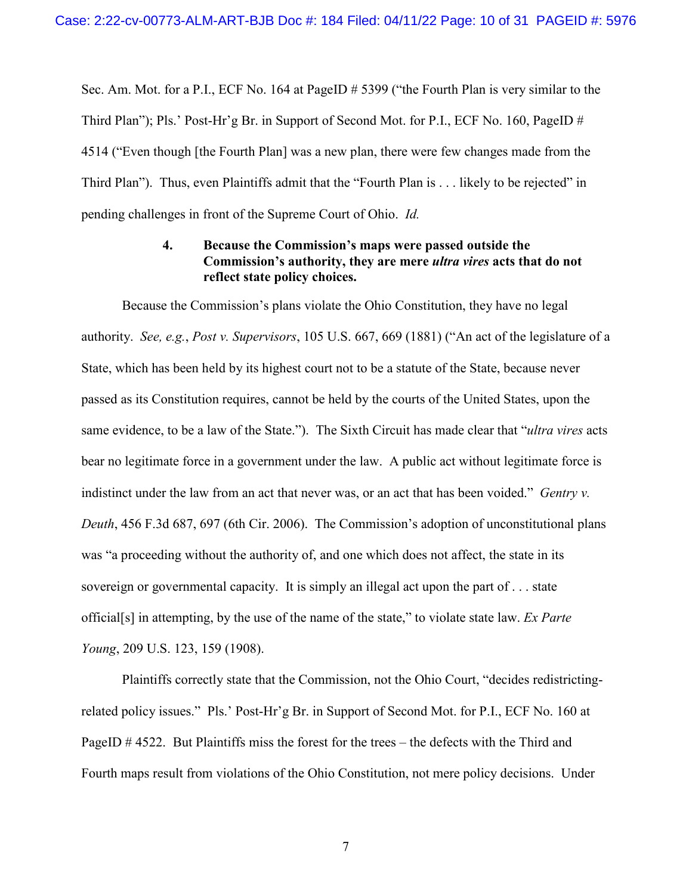Sec. Am. Mot. for a P.I., ECF No. 164 at PageID # 5399 ("the Fourth Plan is very similar to the Third Plan"); Pls.' Post-Hr'g Br. in Support of Second Mot. for P.I., ECF No. 160, PageID # 4514 ("Even though [the Fourth Plan] was a new plan, there were few changes made from the Third Plan"). Thus, even Plaintiffs admit that the "Fourth Plan is . . . likely to be rejected" in pending challenges in front of the Supreme Court of Ohio. *Id.*

### **4. Because the Commission's maps were passed outside the Commission's authority, they are mere** *ultra vires* **acts that do not reflect state policy choices.**

<span id="page-9-0"></span>Because the Commission's plans violate the Ohio Constitution, they have no legal authority. *See, e.g.*, *Post v. Supervisors*, 105 U.S. 667, 669 (1881) ("An act of the legislature of a State, which has been held by its highest court not to be a statute of the State, because never passed as its Constitution requires, cannot be held by the courts of the United States, upon the same evidence, to be a law of the State."). The Sixth Circuit has made clear that "*ultra vires* acts bear no legitimate force in a government under the law. A public act without legitimate force is indistinct under the law from an act that never was, or an act that has been voided." *Gentry v. Deuth*, 456 F.3d 687, 697 (6th Cir. 2006). The Commission's adoption of unconstitutional plans was "a proceeding without the authority of, and one which does not affect, the state in its sovereign or governmental capacity. It is simply an illegal act upon the part of . . . state official[s] in attempting, by the use of the name of the state," to violate state law. *Ex Parte Young*, 209 U.S. 123, 159 (1908).

Plaintiffs correctly state that the Commission, not the Ohio Court, "decides redistrictingrelated policy issues." Pls.' Post-Hr'g Br. in Support of Second Mot. for P.I., ECF No. 160 at PageID # 4522. But Plaintiffs miss the forest for the trees – the defects with the Third and Fourth maps result from violations of the Ohio Constitution, not mere policy decisions. Under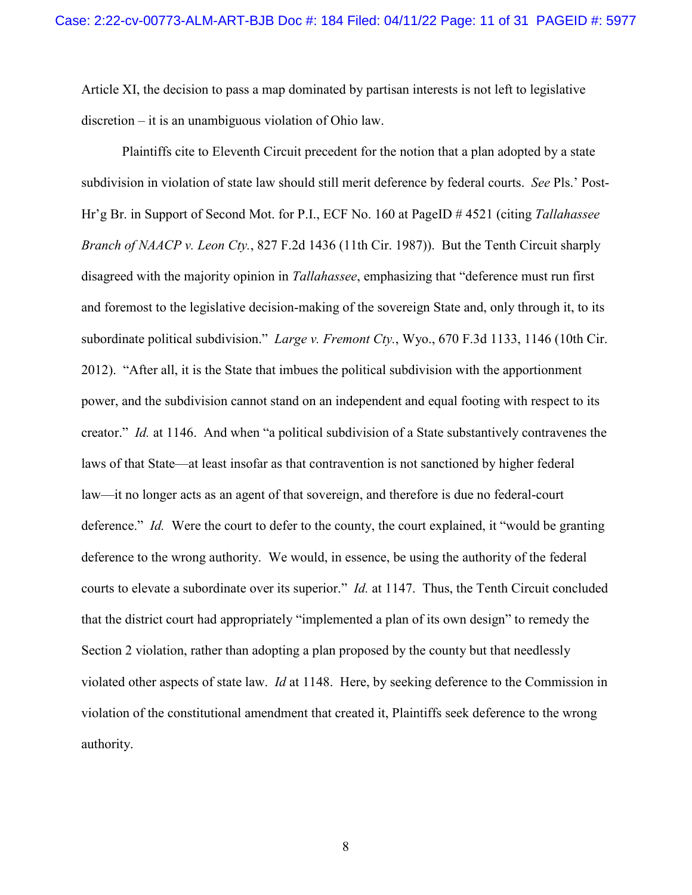Article XI, the decision to pass a map dominated by partisan interests is not left to legislative discretion – it is an unambiguous violation of Ohio law.

Plaintiffs cite to Eleventh Circuit precedent for the notion that a plan adopted by a state subdivision in violation of state law should still merit deference by federal courts. *See* Pls.' Post-Hr'g Br. in Support of Second Mot. for P.I., ECF No. 160 at PageID # 4521 (citing *Tallahassee Branch of NAACP v. Leon Cty.*, 827 F.2d 1436 (11th Cir. 1987)). But the Tenth Circuit sharply disagreed with the majority opinion in *Tallahassee*, emphasizing that "deference must run first and foremost to the legislative decision-making of the sovereign State and, only through it, to its subordinate political subdivision." *Large v. Fremont Cty.*, Wyo., 670 F.3d 1133, 1146 (10th Cir. 2012). "After all, it is the State that imbues the political subdivision with the apportionment power, and the subdivision cannot stand on an independent and equal footing with respect to its creator." *Id.* at 1146. And when "a political subdivision of a State substantively contravenes the laws of that State—at least insofar as that contravention is not sanctioned by higher federal law—it no longer acts as an agent of that sovereign, and therefore is due no federal-court deference." *Id.* Were the court to defer to the county, the court explained, it "would be granting deference to the wrong authority. We would, in essence, be using the authority of the federal courts to elevate a subordinate over its superior." *Id.* at 1147. Thus, the Tenth Circuit concluded that the district court had appropriately "implemented a plan of its own design" to remedy the Section 2 violation, rather than adopting a plan proposed by the county but that needlessly violated other aspects of state law. *Id* at 1148. Here, by seeking deference to the Commission in violation of the constitutional amendment that created it, Plaintiffs seek deference to the wrong authority.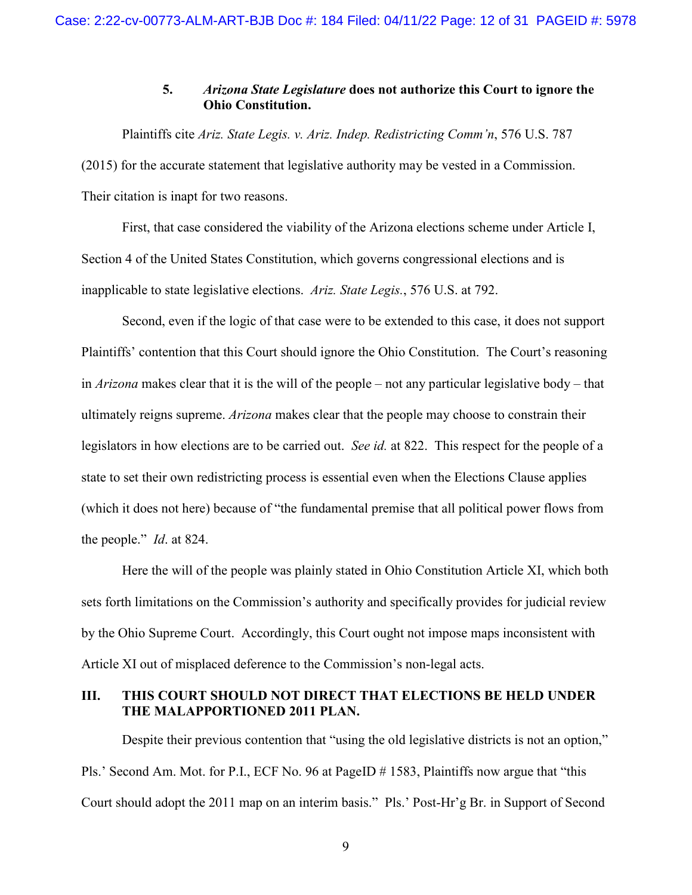### **5.** *Arizona State Legislature* **does not authorize this Court to ignore the Ohio Constitution.**

<span id="page-11-0"></span>Plaintiffs cite *Ariz. State Legis. v. Ariz. Indep. Redistricting Comm'n*, 576 U.S. 787 (2015) for the accurate statement that legislative authority may be vested in a Commission. Their citation is inapt for two reasons.

First, that case considered the viability of the Arizona elections scheme under Article I, Section 4 of the United States Constitution, which governs congressional elections and is inapplicable to state legislative elections. *Ariz. State Legis.*, 576 U.S. at 792.

Second, even if the logic of that case were to be extended to this case, it does not support Plaintiffs' contention that this Court should ignore the Ohio Constitution. The Court's reasoning in *Arizona* makes clear that it is the will of the people – not any particular legislative body – that ultimately reigns supreme. *Arizona* makes clear that the people may choose to constrain their legislators in how elections are to be carried out. *See id.* at 822. This respect for the people of a state to set their own redistricting process is essential even when the Elections Clause applies (which it does not here) because of "the fundamental premise that all political power flows from the people." *Id*. at 824.

Here the will of the people was plainly stated in Ohio Constitution Article XI, which both sets forth limitations on the Commission's authority and specifically provides for judicial review by the Ohio Supreme Court. Accordingly, this Court ought not impose maps inconsistent with Article XI out of misplaced deference to the Commission's non-legal acts.

# <span id="page-11-1"></span>**III. THIS COURT SHOULD NOT DIRECT THAT ELECTIONS BE HELD UNDER THE MALAPPORTIONED 2011 PLAN.**

Despite their previous contention that "using the old legislative districts is not an option," Pls.' Second Am. Mot. for P.I., ECF No. 96 at PageID # 1583, Plaintiffs now argue that "this Court should adopt the 2011 map on an interim basis." Pls.' Post-Hr'g Br. in Support of Second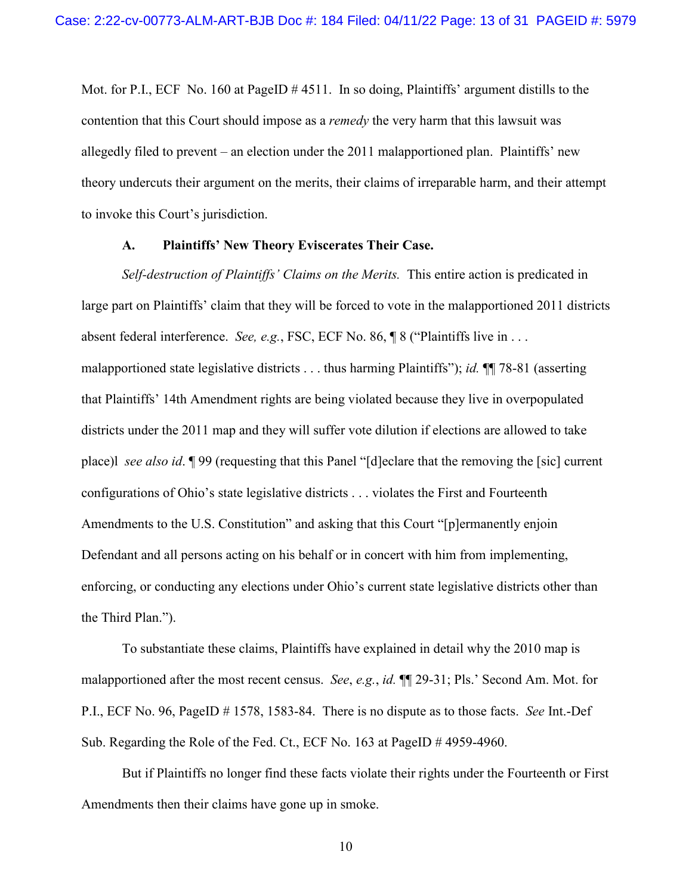Mot. for P.I., ECF No. 160 at PageID # 4511. In so doing, Plaintiffs' argument distills to the contention that this Court should impose as a *remedy* the very harm that this lawsuit was allegedly filed to prevent – an election under the 2011 malapportioned plan. Plaintiffs' new theory undercuts their argument on the merits, their claims of irreparable harm, and their attempt to invoke this Court's jurisdiction.

#### **A. Plaintiffs' New Theory Eviscerates Their Case.**

<span id="page-12-0"></span>*Self-destruction of Plaintiffs' Claims on the Merits.* This entire action is predicated in large part on Plaintiffs' claim that they will be forced to vote in the malapportioned 2011 districts absent federal interference. *See, e.g.*, FSC, ECF No. 86, ¶ 8 ("Plaintiffs live in . . . malapportioned state legislative districts . . . thus harming Plaintiffs"); *id.* ¶¶ 78-81 (asserting that Plaintiffs' 14th Amendment rights are being violated because they live in overpopulated districts under the 2011 map and they will suffer vote dilution if elections are allowed to take place)l *see also id*. ¶ 99 (requesting that this Panel "[d]eclare that the removing the [sic] current configurations of Ohio's state legislative districts . . . violates the First and Fourteenth Amendments to the U.S. Constitution" and asking that this Court "[p]ermanently enjoin Defendant and all persons acting on his behalf or in concert with him from implementing, enforcing, or conducting any elections under Ohio's current state legislative districts other than the Third Plan.").

To substantiate these claims, Plaintiffs have explained in detail why the 2010 map is malapportioned after the most recent census. *See*, *e.g.*, *id.* ¶¶ 29-31; Pls.' Second Am. Mot. for P.I., ECF No. 96, PageID # 1578, 1583-84. There is no dispute as to those facts. *See* Int.-Def Sub. Regarding the Role of the Fed. Ct., ECF No. 163 at PageID # 4959-4960.

But if Plaintiffs no longer find these facts violate their rights under the Fourteenth or First Amendments then their claims have gone up in smoke.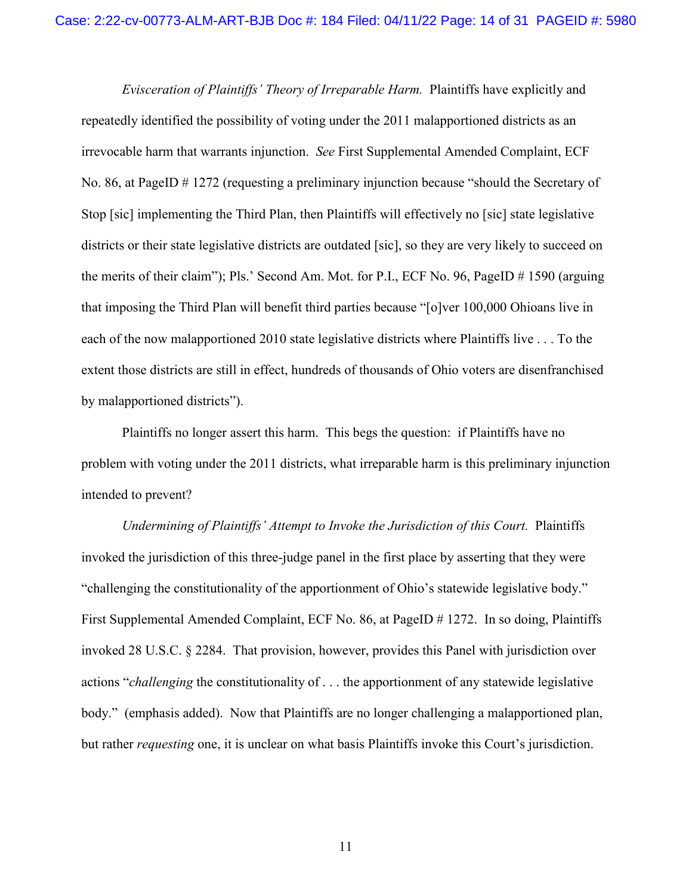*Evisceration of Plaintiffs' Theory of Irreparable Harm.* Plaintiffs have explicitly and repeatedly identified the possibility of voting under the 2011 malapportioned districts as an irrevocable harm that warrants injunction. *See* First Supplemental Amended Complaint, ECF No. 86, at PageID # 1272 (requesting a preliminary injunction because "should the Secretary of Stop [sic] implementing the Third Plan, then Plaintiffs will effectively no [sic] state legislative districts or their state legislative districts are outdated [sic], so they are very likely to succeed on the merits of their claim"); Pls.' Second Am. Mot. for P.I., ECF No. 96, PageID # 1590 (arguing that imposing the Third Plan will benefit third parties because "[o]ver 100,000 Ohioans live in each of the now malapportioned 2010 state legislative districts where Plaintiffs live . . . To the extent those districts are still in effect, hundreds of thousands of Ohio voters are disenfranchised by malapportioned districts").

Plaintiffs no longer assert this harm. This begs the question: if Plaintiffs have no problem with voting under the 2011 districts, what irreparable harm is this preliminary injunction intended to prevent?

*Undermining of Plaintiffs' Attempt to Invoke the Jurisdiction of this Court.* Plaintiffs invoked the jurisdiction of this three-judge panel in the first place by asserting that they were "challenging the constitutionality of the apportionment of Ohio's statewide legislative body." First Supplemental Amended Complaint, ECF No. 86, at PageID # 1272. In so doing, Plaintiffs invoked 28 U.S.C. § 2284. That provision, however, provides this Panel with jurisdiction over actions "*challenging* the constitutionality of . . . the apportionment of any statewide legislative body." (emphasis added). Now that Plaintiffs are no longer challenging a malapportioned plan, but rather *requesting* one, it is unclear on what basis Plaintiffs invoke this Court's jurisdiction.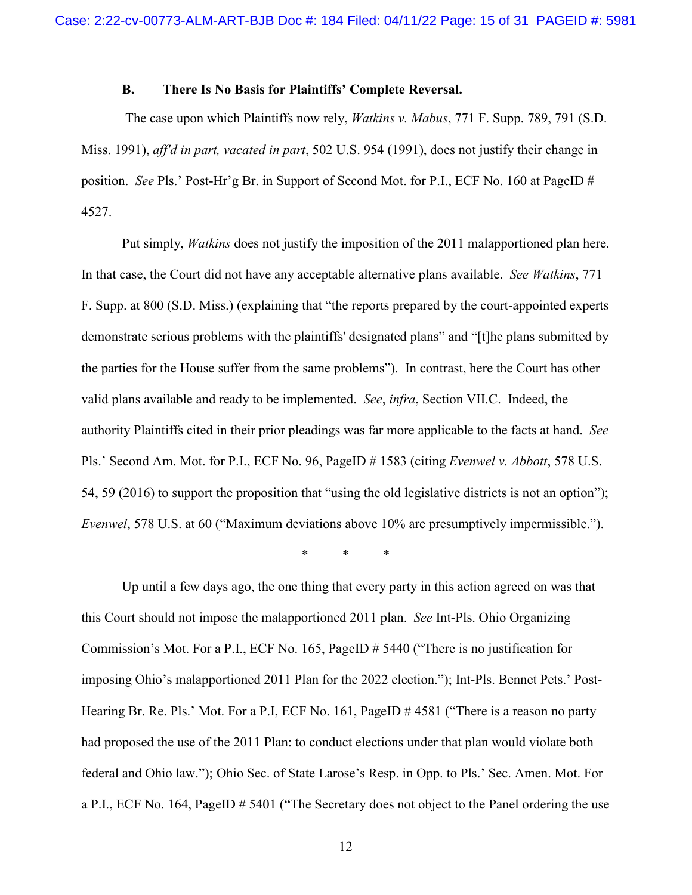### **B. There Is No Basis for Plaintiffs' Complete Reversal.**

<span id="page-14-0"></span> The case upon which Plaintiffs now rely, *Watkins v. Mabus*, 771 F. Supp. 789, 791 (S.D. Miss. 1991), *aff'd in part, vacated in part*, 502 U.S. 954 (1991), does not justify their change in position. *See* Pls.' Post-Hr'g Br. in Support of Second Mot. for P.I., ECF No. 160 at PageID # 4527.

Put simply, *Watkins* does not justify the imposition of the 2011 malapportioned plan here. In that case, the Court did not have any acceptable alternative plans available. *See Watkins*, 771 F. Supp. at 800 (S.D. Miss.) (explaining that "the reports prepared by the court-appointed experts demonstrate serious problems with the plaintiffs' designated plans" and "[t]he plans submitted by the parties for the House suffer from the same problems"). In contrast, here the Court has other valid plans available and ready to be implemented. *See*, *infra*, Section VII.C. Indeed, the authority Plaintiffs cited in their prior pleadings was far more applicable to the facts at hand. *See*  Pls.' Second Am. Mot. for P.I., ECF No. 96, PageID # 1583 (citing *Evenwel v. Abbott*, 578 U.S. 54, 59 (2016) to support the proposition that "using the old legislative districts is not an option"); *Evenwel*, 578 U.S. at 60 ("Maximum deviations above 10% are presumptively impermissible.").

\* \* \*

Up until a few days ago, the one thing that every party in this action agreed on was that this Court should not impose the malapportioned 2011 plan. *See* Int-Pls. Ohio Organizing Commission's Mot. For a P.I., ECF No. 165, PageID # 5440 ("There is no justification for imposing Ohio's malapportioned 2011 Plan for the 2022 election."); Int-Pls. Bennet Pets.' Post-Hearing Br. Re. Pls.' Mot. For a P.I, ECF No. 161, PageID # 4581 ("There is a reason no party had proposed the use of the 2011 Plan: to conduct elections under that plan would violate both federal and Ohio law."); Ohio Sec. of State Larose's Resp. in Opp. to Pls.' Sec. Amen. Mot. For a P.I., ECF No. 164, PageID # 5401 ("The Secretary does not object to the Panel ordering the use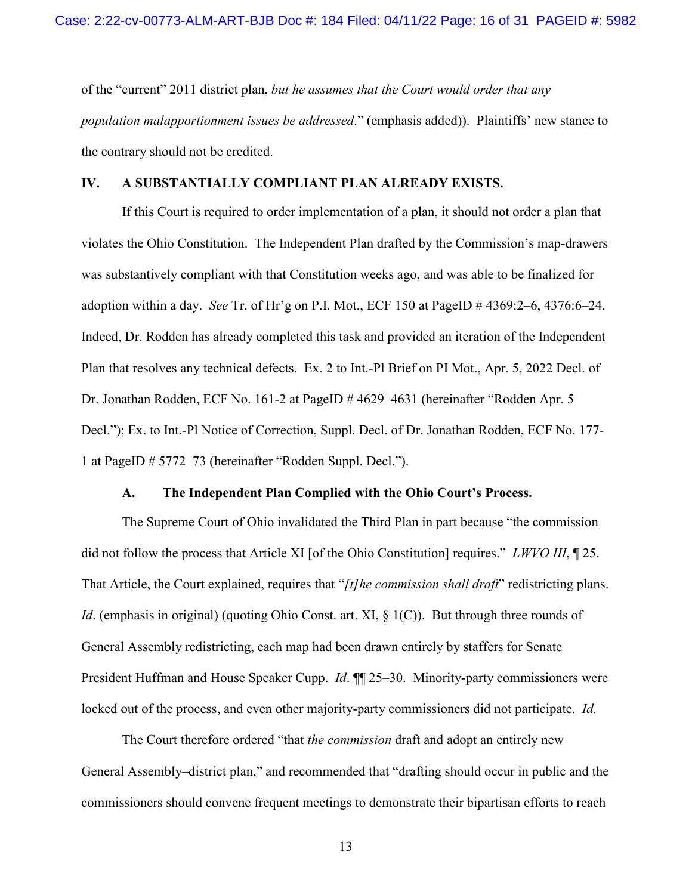of the "current" 2011 district plan, *but he assumes that the Court would order that any population malapportionment issues be addressed*." (emphasis added)). Plaintiffs' new stance to the contrary should not be credited.

### <span id="page-15-0"></span>**IV. A SUBSTANTIALLY COMPLIANT PLAN ALREADY EXISTS.**

 If this Court is required to order implementation of a plan, it should not order a plan that violates the Ohio Constitution. The Independent Plan drafted by the Commission's map-drawers was substantively compliant with that Constitution weeks ago, and was able to be finalized for adoption within a day. *See* Tr. of Hr'g on P.I. Mot., ECF 150 at PageID # 4369:2–6, 4376:6–24. Indeed, Dr. Rodden has already completed this task and provided an iteration of the Independent Plan that resolves any technical defects. Ex. 2 to Int.-Pl Brief on PI Mot., Apr. 5, 2022 Decl. of Dr. Jonathan Rodden, ECF No. 161-2 at PageID # 4629–4631 (hereinafter "Rodden Apr. 5 Decl."); Ex. to Int.-Pl Notice of Correction, Suppl. Decl. of Dr. Jonathan Rodden, ECF No. 177- 1 at PageID # 5772–73 (hereinafter "Rodden Suppl. Decl.").

#### **A. The Independent Plan Complied with the Ohio Court's Process.**

<span id="page-15-1"></span> The Supreme Court of Ohio invalidated the Third Plan in part because "the commission did not follow the process that Article XI [of the Ohio Constitution] requires." *LWVO III*, ¶ 25. That Article, the Court explained, requires that "*[t]he commission shall draft*" redistricting plans. *Id.* (emphasis in original) (quoting Ohio Const. art. XI, § 1(C)). But through three rounds of General Assembly redistricting, each map had been drawn entirely by staffers for Senate President Huffman and House Speaker Cupp. *Id*. ¶¶ 25–30. Minority-party commissioners were locked out of the process, and even other majority-party commissioners did not participate. *Id.*

 The Court therefore ordered "that *the commission* draft and adopt an entirely new General Assembly–district plan," and recommended that "drafting should occur in public and the commissioners should convene frequent meetings to demonstrate their bipartisan efforts to reach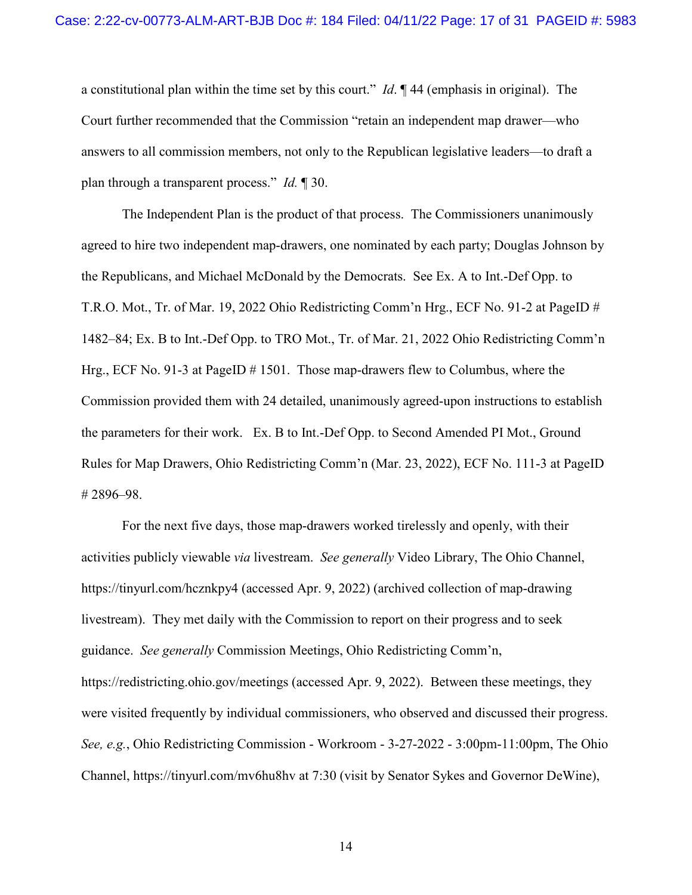a constitutional plan within the time set by this court." *Id*. ¶ 44 (emphasis in original). The Court further recommended that the Commission "retain an independent map drawer—who answers to all commission members, not only to the Republican legislative leaders—to draft a plan through a transparent process." *Id.* ¶ 30.

 The Independent Plan is the product of that process. The Commissioners unanimously agreed to hire two independent map-drawers, one nominated by each party; Douglas Johnson by the Republicans, and Michael McDonald by the Democrats. See Ex. A to Int.-Def Opp. to T.R.O. Mot., Tr. of Mar. 19, 2022 Ohio Redistricting Comm'n Hrg., ECF No. 91-2 at PageID # 1482–84; Ex. B to Int.-Def Opp. to TRO Mot., Tr. of Mar. 21, 2022 Ohio Redistricting Comm'n Hrg., ECF No. 91-3 at PageID # 1501. Those map-drawers flew to Columbus, where the Commission provided them with 24 detailed, unanimously agreed-upon instructions to establish the parameters for their work. Ex. B to Int.-Def Opp. to Second Amended PI Mot., Ground Rules for Map Drawers, Ohio Redistricting Comm'n (Mar. 23, 2022), ECF No. 111-3 at PageID # 2896–98.

 For the next five days, those map-drawers worked tirelessly and openly, with their activities publicly viewable *via* livestream. *See generally* Video Library, The Ohio Channel, https://tinyurl.com/hcznkpy4 (accessed Apr. 9, 2022) (archived collection of map-drawing livestream). They met daily with the Commission to report on their progress and to seek guidance. *See generally* Commission Meetings, Ohio Redistricting Comm'n, https://redistricting.ohio.gov/meetings (accessed Apr. 9, 2022). Between these meetings, they were visited frequently by individual commissioners, who observed and discussed their progress. *See, e.g.*, Ohio Redistricting Commission - Workroom - 3-27-2022 - 3:00pm-11:00pm, The Ohio Channel, https://tinyurl.com/mv6hu8hv at 7:30 (visit by Senator Sykes and Governor DeWine),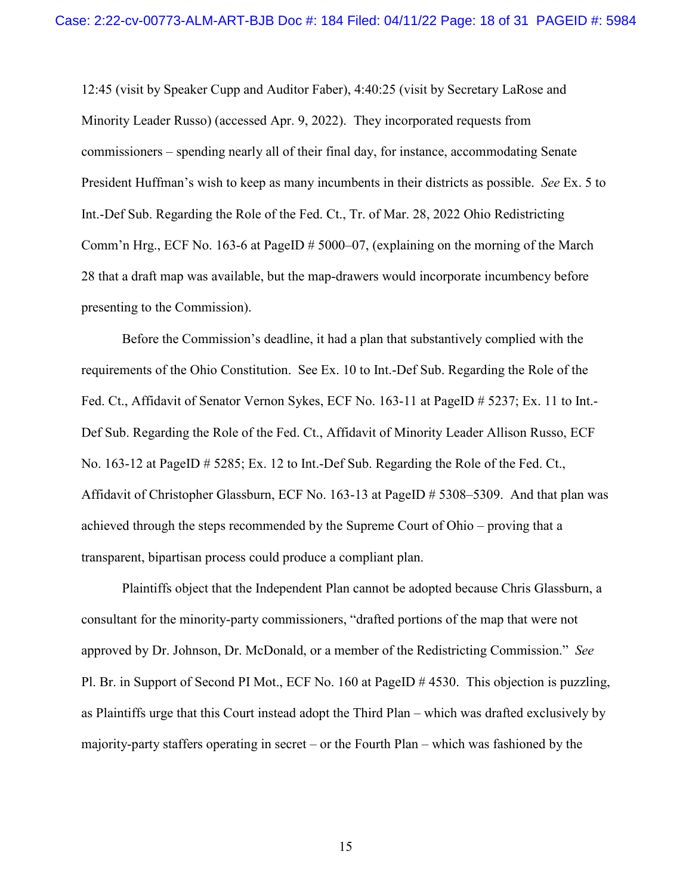12:45 (visit by Speaker Cupp and Auditor Faber), 4:40:25 (visit by Secretary LaRose and Minority Leader Russo) (accessed Apr. 9, 2022). They incorporated requests from commissioners – spending nearly all of their final day, for instance, accommodating Senate President Huffman's wish to keep as many incumbents in their districts as possible. *See* Ex. 5 to Int.-Def Sub. Regarding the Role of the Fed. Ct., Tr. of Mar. 28, 2022 Ohio Redistricting Comm'n Hrg., ECF No. 163-6 at PageID # 5000–07, (explaining on the morning of the March 28 that a draft map was available, but the map-drawers would incorporate incumbency before presenting to the Commission).

 Before the Commission's deadline, it had a plan that substantively complied with the requirements of the Ohio Constitution. See Ex. 10 to Int.-Def Sub. Regarding the Role of the Fed. Ct., Affidavit of Senator Vernon Sykes, ECF No. 163-11 at PageID # 5237; Ex. 11 to Int. Def Sub. Regarding the Role of the Fed. Ct., Affidavit of Minority Leader Allison Russo, ECF No. 163-12 at PageID # 5285; Ex. 12 to Int.-Def Sub. Regarding the Role of the Fed. Ct., Affidavit of Christopher Glassburn, ECF No. 163-13 at PageID # 5308–5309. And that plan was achieved through the steps recommended by the Supreme Court of Ohio – proving that a transparent, bipartisan process could produce a compliant plan.

 Plaintiffs object that the Independent Plan cannot be adopted because Chris Glassburn, a consultant for the minority-party commissioners, "drafted portions of the map that were not approved by Dr. Johnson, Dr. McDonald, or a member of the Redistricting Commission." *See*  Pl. Br. in Support of Second PI Mot., ECF No. 160 at PageID # 4530. This objection is puzzling, as Plaintiffs urge that this Court instead adopt the Third Plan – which was drafted exclusively by majority-party staffers operating in secret – or the Fourth Plan – which was fashioned by the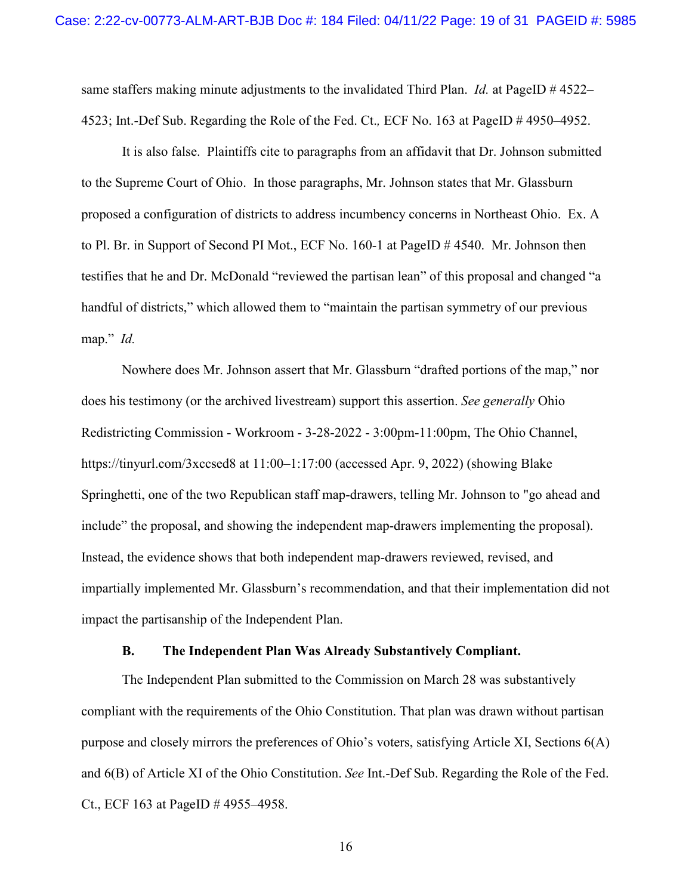same staffers making minute adjustments to the invalidated Third Plan. *Id.* at PageID # 4522– 4523; Int.-Def Sub. Regarding the Role of the Fed. Ct.*,* ECF No. 163 at PageID # 4950–4952.

 It is also false. Plaintiffs cite to paragraphs from an affidavit that Dr. Johnson submitted to the Supreme Court of Ohio. In those paragraphs, Mr. Johnson states that Mr. Glassburn proposed a configuration of districts to address incumbency concerns in Northeast Ohio. Ex. A to Pl. Br. in Support of Second PI Mot., ECF No. 160-1 at PageID # 4540. Mr. Johnson then testifies that he and Dr. McDonald "reviewed the partisan lean" of this proposal and changed "a handful of districts," which allowed them to "maintain the partisan symmetry of our previous map." *Id.*

 Nowhere does Mr. Johnson assert that Mr. Glassburn "drafted portions of the map," nor does his testimony (or the archived livestream) support this assertion. *See generally* Ohio Redistricting Commission - Workroom - 3-28-2022 - 3:00pm-11:00pm, The Ohio Channel, https://tinyurl.com/3xccsed8 at 11:00–1:17:00 (accessed Apr. 9, 2022) (showing Blake Springhetti, one of the two Republican staff map-drawers, telling Mr. Johnson to "go ahead and include" the proposal, and showing the independent map-drawers implementing the proposal). Instead, the evidence shows that both independent map-drawers reviewed, revised, and impartially implemented Mr. Glassburn's recommendation, and that their implementation did not impact the partisanship of the Independent Plan.

#### **B. The Independent Plan Was Already Substantively Compliant.**

<span id="page-18-0"></span> The Independent Plan submitted to the Commission on March 28 was substantively compliant with the requirements of the Ohio Constitution. That plan was drawn without partisan purpose and closely mirrors the preferences of Ohio's voters, satisfying Article XI, Sections 6(A) and 6(B) of Article XI of the Ohio Constitution. *See* Int.-Def Sub. Regarding the Role of the Fed. Ct., ECF 163 at PageID # 4955–4958.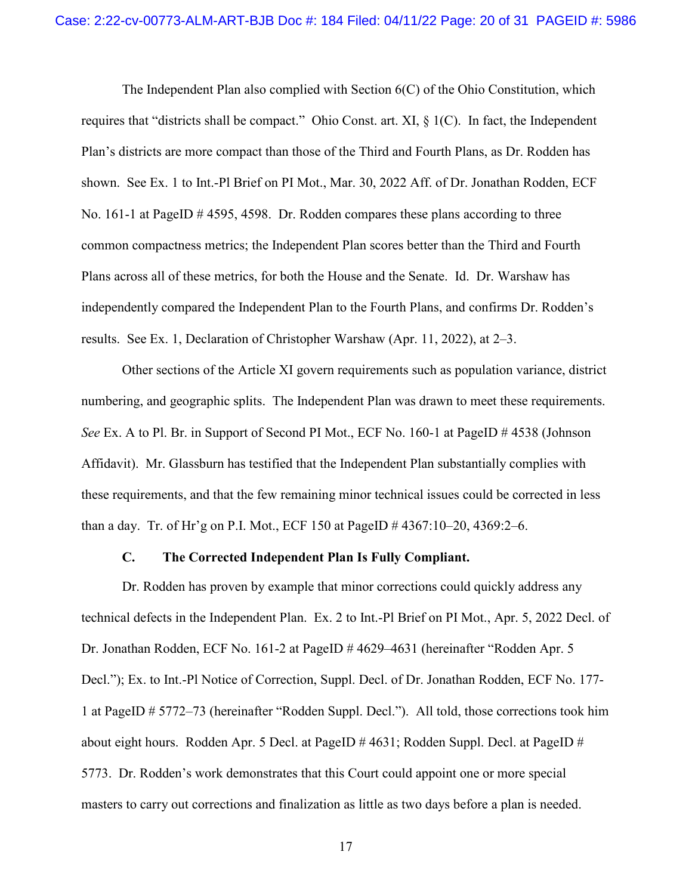The Independent Plan also complied with Section  $6(C)$  of the Ohio Constitution, which requires that "districts shall be compact." Ohio Const. art. XI, § 1(C). In fact, the Independent Plan's districts are more compact than those of the Third and Fourth Plans, as Dr. Rodden has shown. See Ex. 1 to Int.-Pl Brief on PI Mot., Mar. 30, 2022 Aff. of Dr. Jonathan Rodden, ECF No. 161-1 at PageID # 4595, 4598. Dr. Rodden compares these plans according to three common compactness metrics; the Independent Plan scores better than the Third and Fourth Plans across all of these metrics, for both the House and the Senate. Id. Dr. Warshaw has independently compared the Independent Plan to the Fourth Plans, and confirms Dr. Rodden's results. See Ex. 1, Declaration of Christopher Warshaw (Apr. 11, 2022), at 2–3.

 Other sections of the Article XI govern requirements such as population variance, district numbering, and geographic splits. The Independent Plan was drawn to meet these requirements. *See* Ex. A to Pl. Br. in Support of Second PI Mot., ECF No. 160-1 at PageID # 4538 (Johnson Affidavit). Mr. Glassburn has testified that the Independent Plan substantially complies with these requirements, and that the few remaining minor technical issues could be corrected in less than a day. Tr. of Hr'g on P.I. Mot., ECF 150 at PageID # 4367:10–20, 4369:2–6.

### **C. The Corrected Independent Plan Is Fully Compliant.**

<span id="page-19-0"></span> Dr. Rodden has proven by example that minor corrections could quickly address any technical defects in the Independent Plan. Ex. 2 to Int.-Pl Brief on PI Mot., Apr. 5, 2022 Decl. of Dr. Jonathan Rodden, ECF No. 161-2 at PageID # 4629–4631 (hereinafter "Rodden Apr. 5 Decl."); Ex. to Int.-Pl Notice of Correction, Suppl. Decl. of Dr. Jonathan Rodden, ECF No. 177- 1 at PageID # 5772–73 (hereinafter "Rodden Suppl. Decl."). All told, those corrections took him about eight hours. Rodden Apr. 5 Decl. at PageID # 4631; Rodden Suppl. Decl. at PageID # 5773. Dr. Rodden's work demonstrates that this Court could appoint one or more special masters to carry out corrections and finalization as little as two days before a plan is needed.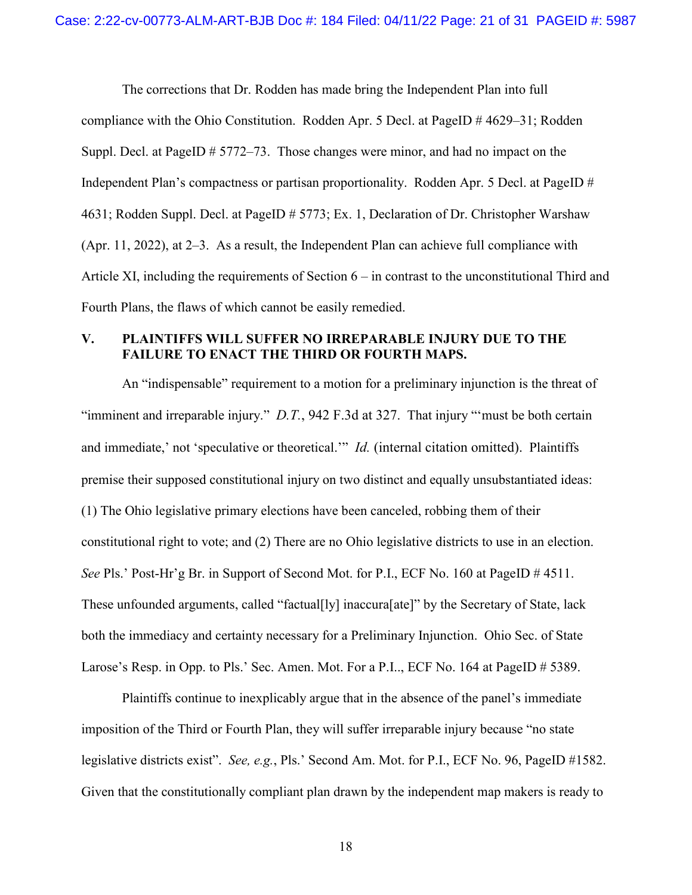The corrections that Dr. Rodden has made bring the Independent Plan into full compliance with the Ohio Constitution. Rodden Apr. 5 Decl. at PageID # 4629–31; Rodden Suppl. Decl. at PageID # 5772–73. Those changes were minor, and had no impact on the Independent Plan's compactness or partisan proportionality. Rodden Apr. 5 Decl. at PageID # 4631; Rodden Suppl. Decl. at PageID # 5773; Ex. 1, Declaration of Dr. Christopher Warshaw (Apr. 11, 2022), at 2–3. As a result, the Independent Plan can achieve full compliance with Article XI, including the requirements of Section 6 – in contrast to the unconstitutional Third and Fourth Plans, the flaws of which cannot be easily remedied.

### <span id="page-20-0"></span>**V. PLAINTIFFS WILL SUFFER NO IRREPARABLE INJURY DUE TO THE FAILURE TO ENACT THE THIRD OR FOURTH MAPS.**

 An "indispensable" requirement to a motion for a preliminary injunction is the threat of "imminent and irreparable injury." *D.T.*, 942 F.3d at 327. That injury "'must be both certain and immediate,' not 'speculative or theoretical.'" *Id.* (internal citation omitted). Plaintiffs premise their supposed constitutional injury on two distinct and equally unsubstantiated ideas: (1) The Ohio legislative primary elections have been canceled, robbing them of their constitutional right to vote; and (2) There are no Ohio legislative districts to use in an election. *See* Pls.' Post-Hr'g Br. in Support of Second Mot. for P.I., ECF No. 160 at PageID # 4511. These unfounded arguments, called "factual[ly] inaccura[ate]" by the Secretary of State, lack both the immediacy and certainty necessary for a Preliminary Injunction. Ohio Sec. of State Larose's Resp. in Opp. to Pls.' Sec. Amen. Mot. For a P.I.., ECF No. 164 at PageID # 5389.

Plaintiffs continue to inexplicably argue that in the absence of the panel's immediate imposition of the Third or Fourth Plan, they will suffer irreparable injury because "no state legislative districts exist". *See, e.g.*, Pls.' Second Am. Mot. for P.I., ECF No. 96, PageID #1582. Given that the constitutionally compliant plan drawn by the independent map makers is ready to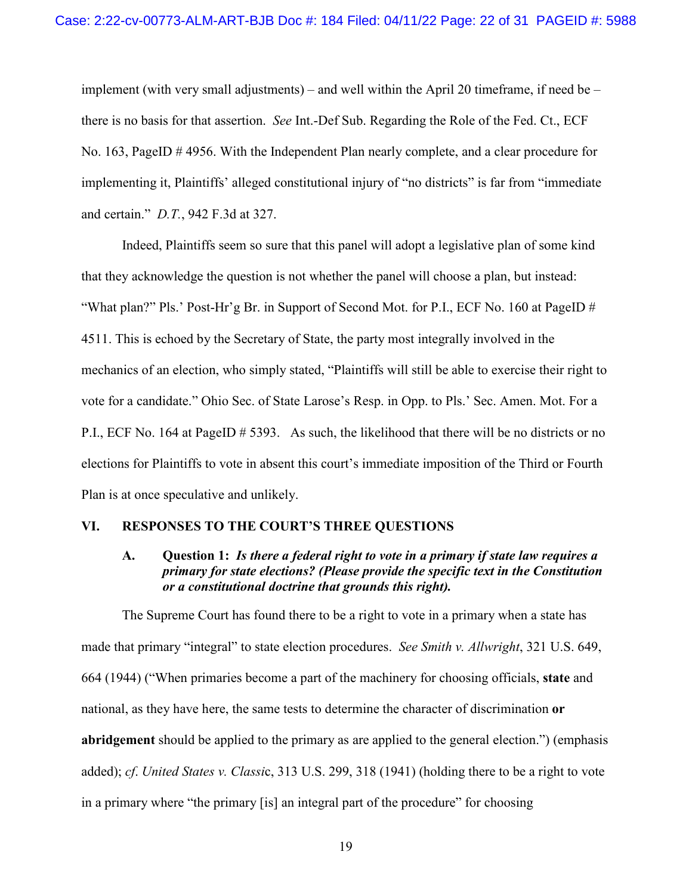implement (with very small adjustments) – and well within the April 20 time frame, if need be – there is no basis for that assertion. *See* Int.-Def Sub. Regarding the Role of the Fed. Ct., ECF No. 163, PageID # 4956. With the Independent Plan nearly complete, and a clear procedure for implementing it, Plaintiffs' alleged constitutional injury of "no districts" is far from "immediate and certain." *D.T.*, 942 F.3d at 327.

Indeed, Plaintiffs seem so sure that this panel will adopt a legislative plan of some kind that they acknowledge the question is not whether the panel will choose a plan, but instead: "What plan?" Pls.' Post-Hr'g Br. in Support of Second Mot. for P.I., ECF No. 160 at PageID  $#$ 4511. This is echoed by the Secretary of State, the party most integrally involved in the mechanics of an election, who simply stated, "Plaintiffs will still be able to exercise their right to vote for a candidate." Ohio Sec. of State Larose's Resp. in Opp. to Pls.' Sec. Amen. Mot. For a P.I., ECF No. 164 at PageID # 5393. As such, the likelihood that there will be no districts or no elections for Plaintiffs to vote in absent this court's immediate imposition of the Third or Fourth Plan is at once speculative and unlikely.

#### <span id="page-21-1"></span><span id="page-21-0"></span>**VI. RESPONSES TO THE COURT'S THREE QUESTIONS**

### **A. Question 1:** *Is there a federal right to vote in a primary if state law requires a primary for state elections? (Please provide the specific text in the Constitution or a constitutional doctrine that grounds this right).*

The Supreme Court has found there to be a right to vote in a primary when a state has made that primary "integral" to state election procedures. *See Smith v. Allwright*, 321 U.S. 649, 664 (1944) ("When primaries become a part of the machinery for choosing officials, **state** and national, as they have here, the same tests to determine the character of discrimination **or abridgement** should be applied to the primary as are applied to the general election.") (emphasis added); *cf*. *United States v. Classi*c, 313 U.S. 299, 318 (1941) (holding there to be a right to vote in a primary where "the primary [is] an integral part of the procedure" for choosing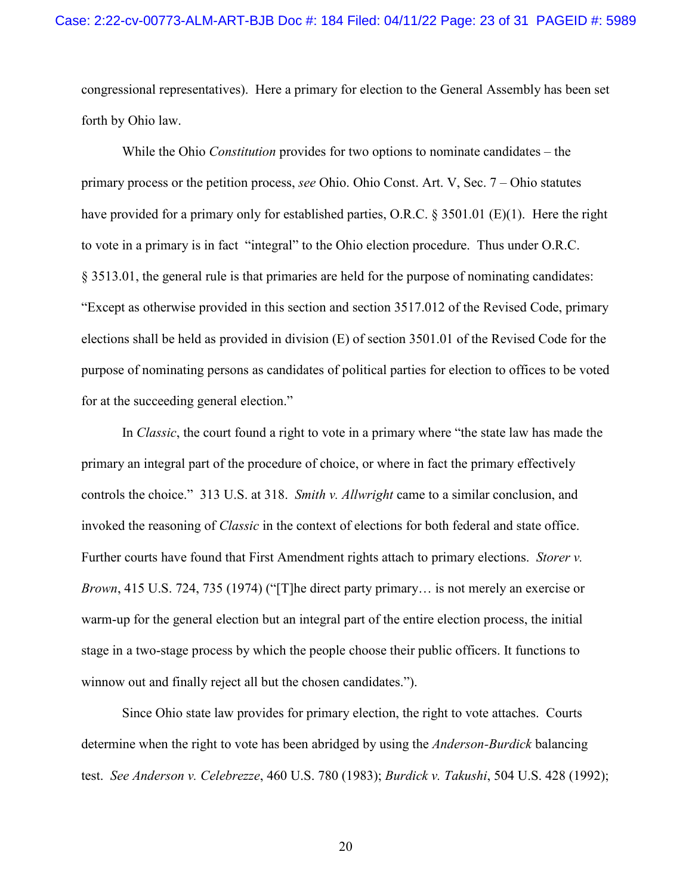congressional representatives). Here a primary for election to the General Assembly has been set forth by Ohio law.

While the Ohio *Constitution* provides for two options to nominate candidates – the primary process or the petition process, *see* Ohio. Ohio Const. Art. V, Sec. 7 – Ohio statutes have provided for a primary only for established parties, O.R.C. § 3501.01 (E)(1). Here the right to vote in a primary is in fact "integral" to the Ohio election procedure. Thus under O.R.C. § 3513.01, the general rule is that primaries are held for the purpose of nominating candidates: "Except as otherwise provided in this section and section 3517.012 of the Revised Code, primary elections shall be held as provided in division (E) of section 3501.01 of the Revised Code for the purpose of nominating persons as candidates of political parties for election to offices to be voted for at the succeeding general election."

In *Classic*, the court found a right to vote in a primary where "the state law has made the primary an integral part of the procedure of choice, or where in fact the primary effectively controls the choice." 313 U.S. at 318. *Smith v. Allwright* came to a similar conclusion, and invoked the reasoning of *Classic* in the context of elections for both federal and state office. Further courts have found that First Amendment rights attach to primary elections. *Storer v. Brown*, 415 U.S. 724, 735 (1974) ("[T]he direct party primary… is not merely an exercise or warm-up for the general election but an integral part of the entire election process, the initial stage in a two-stage process by which the people choose their public officers. It functions to winnow out and finally reject all but the chosen candidates.").

Since Ohio state law provides for primary election, the right to vote attaches. Courts determine when the right to vote has been abridged by using the *Anderson-Burdick* balancing test. *See Anderson v. Celebrezze*, 460 U.S. 780 (1983); *Burdick v. Takushi*, 504 U.S. 428 (1992);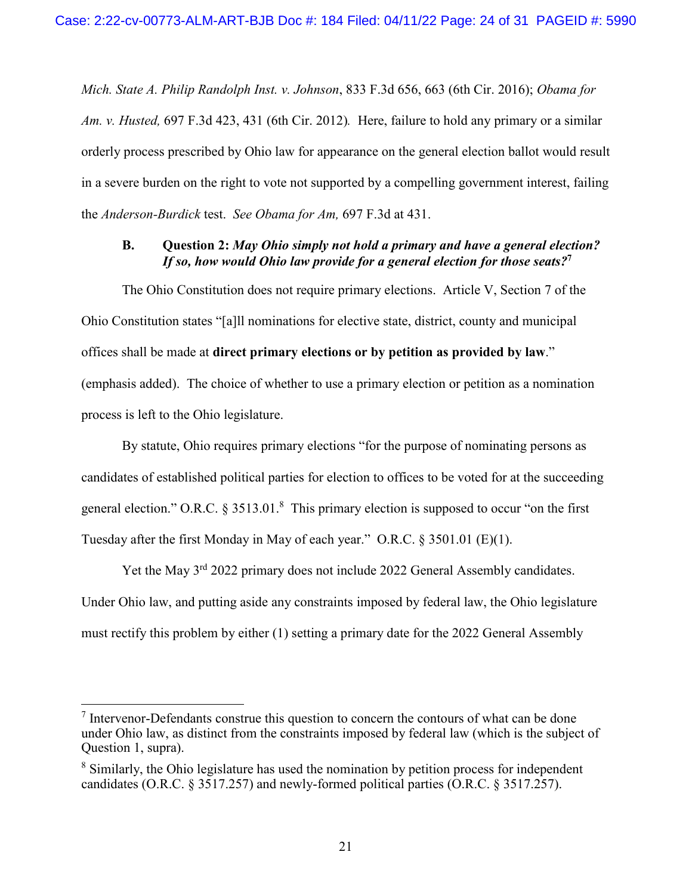*Mich. State A. Philip Randolph Inst. v. Johnson*, 833 F.3d 656, 663 (6th Cir. 2016); *Obama for Am. v. Husted,* 697 F.3d 423, 431 (6th Cir. 2012)*.* Here, failure to hold any primary or a similar orderly process prescribed by Ohio law for appearance on the general election ballot would result in a severe burden on the right to vote not supported by a compelling government interest, failing the *Anderson-Burdick* test. *See Obama for Am,* 697 F.3d at 431.

# <span id="page-23-0"></span>**B. Question 2:** *May Ohio simply not hold a primary and have a general election? If so, how would Ohio law provide for a general election for those seats?***<sup>7</sup>**

The Ohio Constitution does not require primary elections. Article V, Section 7 of the Ohio Constitution states "[a]ll nominations for elective state, district, county and municipal offices shall be made at **direct primary elections or by petition as provided by law**." (emphasis added). The choice of whether to use a primary election or petition as a nomination process is left to the Ohio legislature.

By statute, Ohio requires primary elections "for the purpose of nominating persons as candidates of established political parties for election to offices to be voted for at the succeeding general election." O.R.C.  $\S 3513.01$ .<sup>8</sup> This primary election is supposed to occur "on the first Tuesday after the first Monday in May of each year." O.R.C. § 3501.01 (E)(1).

Yet the May 3<sup>rd</sup> 2022 primary does not include 2022 General Assembly candidates. Under Ohio law, and putting aside any constraints imposed by federal law, the Ohio legislature must rectify this problem by either (1) setting a primary date for the 2022 General Assembly

 $\overline{a}$ 

 $<sup>7</sup>$  Intervenor-Defendants construe this question to concern the contours of what can be done</sup> under Ohio law, as distinct from the constraints imposed by federal law (which is the subject of Question 1, supra).

 $8$  Similarly, the Ohio legislature has used the nomination by petition process for independent candidates (O.R.C. § 3517.257) and newly-formed political parties (O.R.C. § 3517.257).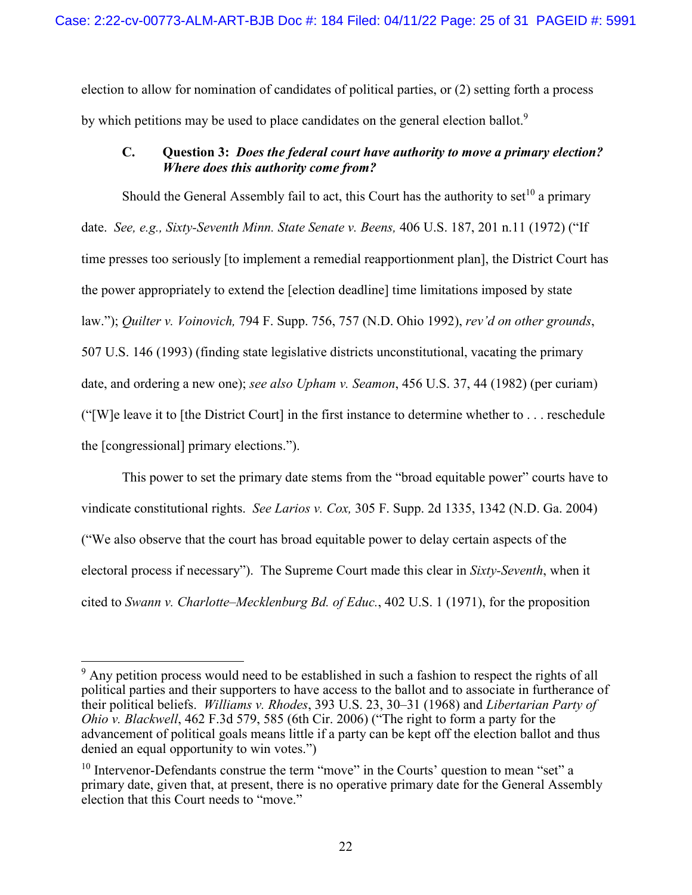election to allow for nomination of candidates of political parties, or (2) setting forth a process by which petitions may be used to place candidates on the general election ballot.<sup>9</sup>

# <span id="page-24-0"></span>**C. Question 3:** *Does the federal court have authority to move a primary election? Where does this authority come from?*

Should the General Assembly fail to act, this Court has the authority to set<sup>10</sup> a primary date. *See, e.g., Sixty-Seventh Minn. State Senate v. Beens,* 406 U.S. 187, 201 n.11 (1972) ("If time presses too seriously [to implement a remedial reapportionment plan], the District Court has the power appropriately to extend the [election deadline] time limitations imposed by state law."); *Quilter v. Voinovich,* 794 F. Supp. 756, 757 (N.D. Ohio 1992), *rev'd on other grounds*, 507 U.S. 146 (1993) (finding state legislative districts unconstitutional, vacating the primary date, and ordering a new one); *see also Upham v. Seamon*, 456 U.S. 37, 44 (1982) (per curiam) ("[W]e leave it to [the District Court] in the first instance to determine whether to . . . reschedule the [congressional] primary elections.").

This power to set the primary date stems from the "broad equitable power" courts have to vindicate constitutional rights. *See Larios v. Cox,* 305 F. Supp. 2d 1335, 1342 (N.D. Ga. 2004) ("We also observe that the court has broad equitable power to delay certain aspects of the electoral process if necessary"). The Supreme Court made this clear in *Sixty-Seventh*, when it cited to *Swann v. Charlotte–Mecklenburg Bd. of Educ.*, 402 U.S. 1 (1971), for the proposition

<sup>&</sup>lt;sup>9</sup> Any petition process would need to be established in such a fashion to respect the rights of all political parties and their supporters to have access to the ballot and to associate in furtherance of their political beliefs. *Williams v. Rhodes*, 393 U.S. 23, 30–31 (1968) and *Libertarian Party of Ohio v. Blackwell*, 462 F.3d 579, 585 (6th Cir. 2006) ("The right to form a party for the advancement of political goals means little if a party can be kept off the election ballot and thus denied an equal opportunity to win votes.")

 $10$  Intervenor-Defendants construe the term "move" in the Courts' question to mean "set" a primary date, given that, at present, there is no operative primary date for the General Assembly election that this Court needs to "move."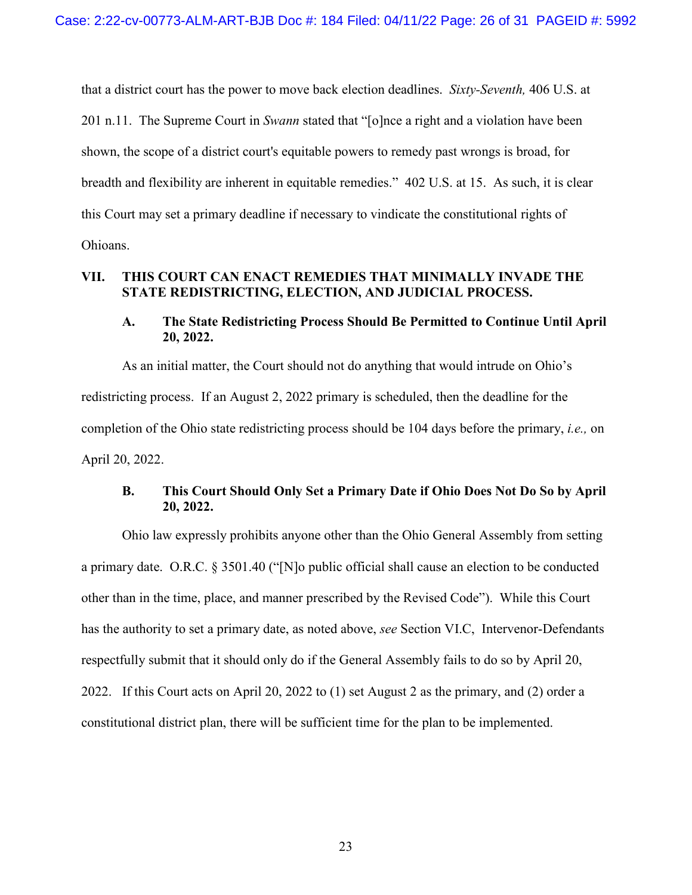that a district court has the power to move back election deadlines. *Sixty-Seventh,* 406 U.S. at 201 n.11. The Supreme Court in *Swann* stated that "[o]nce a right and a violation have been shown, the scope of a district court's equitable powers to remedy past wrongs is broad, for breadth and flexibility are inherent in equitable remedies." 402 U.S. at 15. As such, it is clear this Court may set a primary deadline if necessary to vindicate the constitutional rights of Ohioans.

### <span id="page-25-0"></span>**VII. THIS COURT CAN ENACT REMEDIES THAT MINIMALLY INVADE THE STATE REDISTRICTING, ELECTION, AND JUDICIAL PROCESS.**

### <span id="page-25-1"></span>**A. The State Redistricting Process Should Be Permitted to Continue Until April 20, 2022.**

As an initial matter, the Court should not do anything that would intrude on Ohio's redistricting process. If an August 2, 2022 primary is scheduled, then the deadline for the completion of the Ohio state redistricting process should be 104 days before the primary, *i.e.,* on April 20, 2022.

# <span id="page-25-2"></span>**B. This Court Should Only Set a Primary Date if Ohio Does Not Do So by April 20, 2022.**

Ohio law expressly prohibits anyone other than the Ohio General Assembly from setting a primary date. O.R.C. § 3501.40 ("[N]o public official shall cause an election to be conducted other than in the time, place, and manner prescribed by the Revised Code"). While this Court has the authority to set a primary date, as noted above, *see* Section VI.C, Intervenor-Defendants respectfully submit that it should only do if the General Assembly fails to do so by April 20, 2022. If this Court acts on April 20, 2022 to (1) set August 2 as the primary, and (2) order a constitutional district plan, there will be sufficient time for the plan to be implemented.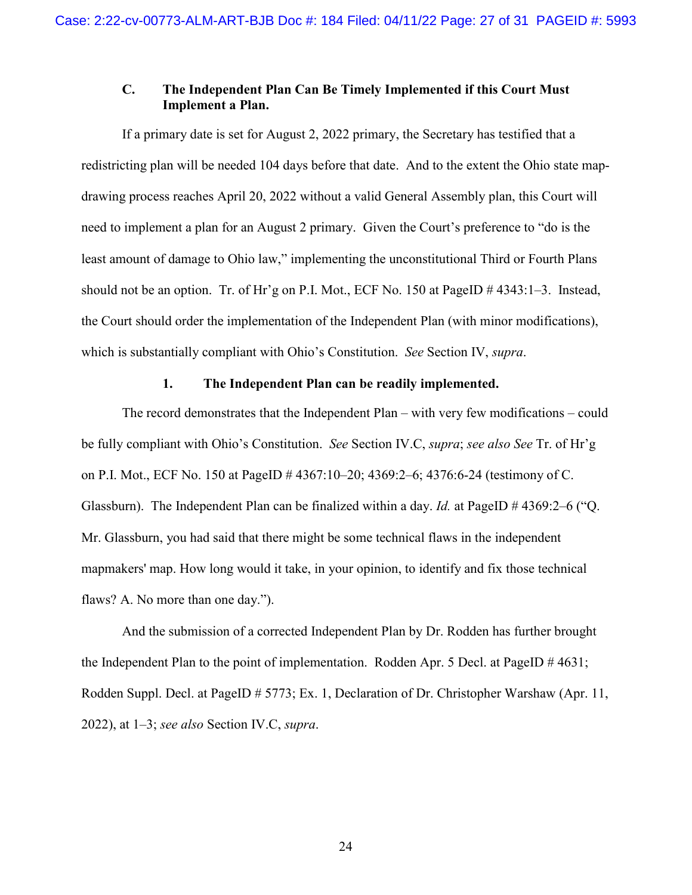### <span id="page-26-0"></span>**C. The Independent Plan Can Be Timely Implemented if this Court Must Implement a Plan.**

If a primary date is set for August 2, 2022 primary, the Secretary has testified that a redistricting plan will be needed 104 days before that date. And to the extent the Ohio state mapdrawing process reaches April 20, 2022 without a valid General Assembly plan, this Court will need to implement a plan for an August 2 primary. Given the Court's preference to "do is the least amount of damage to Ohio law," implementing the unconstitutional Third or Fourth Plans should not be an option. Tr. of Hr'g on P.I. Mot., ECF No. 150 at PageID  $\#$  4343:1–3. Instead, the Court should order the implementation of the Independent Plan (with minor modifications), which is substantially compliant with Ohio's Constitution. *See* Section IV, *supra*.

### **1. The Independent Plan can be readily implemented.**

<span id="page-26-1"></span>The record demonstrates that the Independent Plan – with very few modifications – could be fully compliant with Ohio's Constitution. *See* Section IV.C, *supra*; *see also See* Tr. of Hr'g on P.I. Mot., ECF No. 150 at PageID # 4367:10–20; 4369:2–6; 4376:6-24 (testimony of C. Glassburn). The Independent Plan can be finalized within a day. *Id.* at PageID # 4369:2–6 ("Q. Mr. Glassburn, you had said that there might be some technical flaws in the independent mapmakers' map. How long would it take, in your opinion, to identify and fix those technical flaws? A. No more than one day.").

And the submission of a corrected Independent Plan by Dr. Rodden has further brought the Independent Plan to the point of implementation. Rodden Apr. 5 Decl. at PageID # 4631; Rodden Suppl. Decl. at PageID # 5773; Ex. 1, Declaration of Dr. Christopher Warshaw (Apr. 11, 2022), at 1–3; *see also* Section IV.C, *supra*.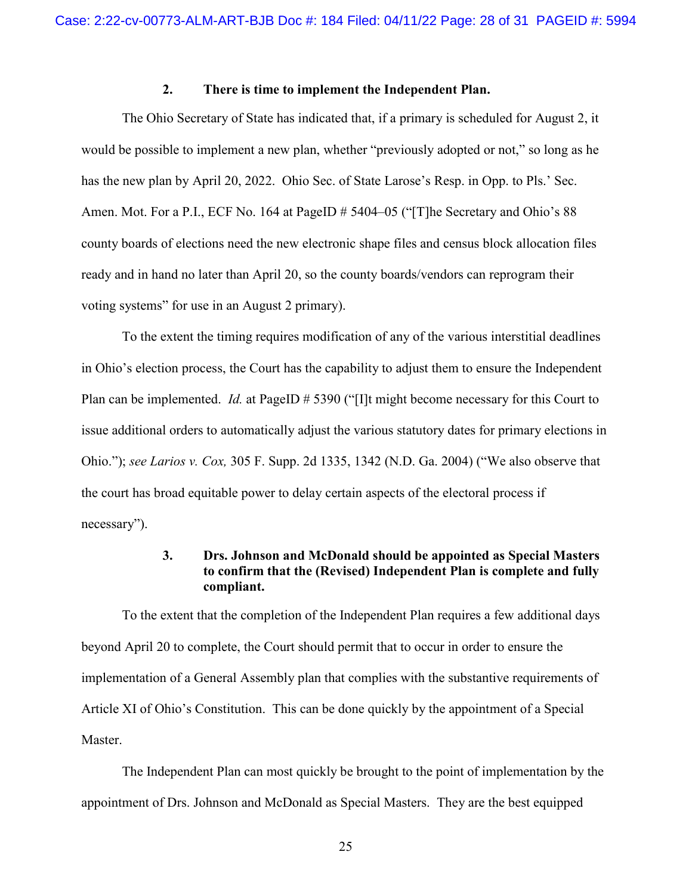### **2. There is time to implement the Independent Plan.**

<span id="page-27-0"></span>The Ohio Secretary of State has indicated that, if a primary is scheduled for August 2, it would be possible to implement a new plan, whether "previously adopted or not," so long as he has the new plan by April 20, 2022. Ohio Sec. of State Larose's Resp. in Opp. to Pls.' Sec. Amen. Mot. For a P.I., ECF No. 164 at PageID # 5404–05 ("[T]he Secretary and Ohio's 88 county boards of elections need the new electronic shape files and census block allocation files ready and in hand no later than April 20, so the county boards/vendors can reprogram their voting systems" for use in an August 2 primary).

To the extent the timing requires modification of any of the various interstitial deadlines in Ohio's election process, the Court has the capability to adjust them to ensure the Independent Plan can be implemented. *Id.* at PageID # 5390 ("[I]t might become necessary for this Court to issue additional orders to automatically adjust the various statutory dates for primary elections in Ohio."); *see Larios v. Cox,* 305 F. Supp. 2d 1335, 1342 (N.D. Ga. 2004) ("We also observe that the court has broad equitable power to delay certain aspects of the electoral process if necessary").

### **3. Drs. Johnson and McDonald should be appointed as Special Masters to confirm that the (Revised) Independent Plan is complete and fully compliant.**

<span id="page-27-1"></span>To the extent that the completion of the Independent Plan requires a few additional days beyond April 20 to complete, the Court should permit that to occur in order to ensure the implementation of a General Assembly plan that complies with the substantive requirements of Article XI of Ohio's Constitution. This can be done quickly by the appointment of a Special Master.

The Independent Plan can most quickly be brought to the point of implementation by the appointment of Drs. Johnson and McDonald as Special Masters. They are the best equipped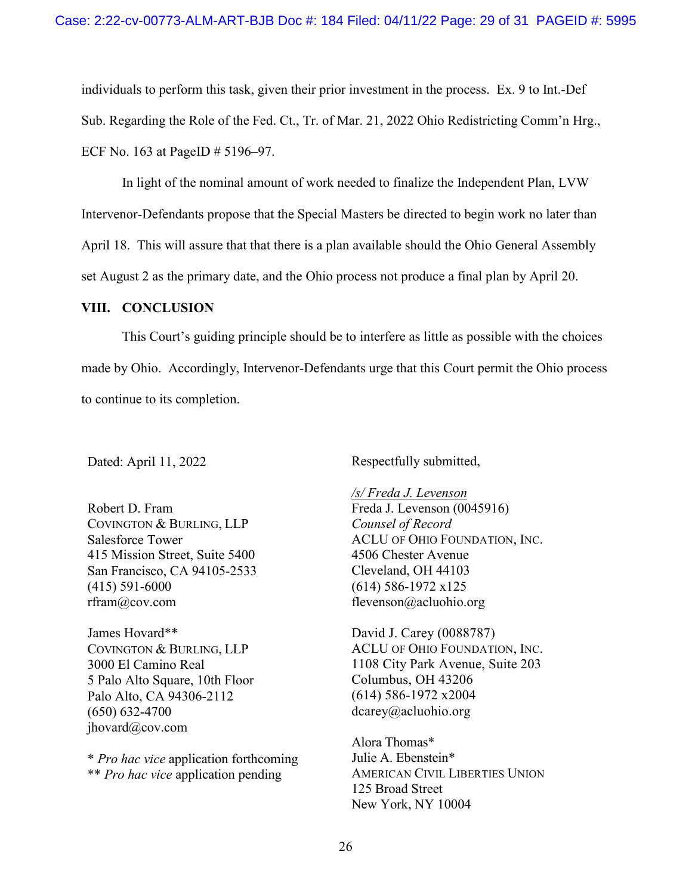individuals to perform this task, given their prior investment in the process. Ex. 9 to Int.-Def Sub. Regarding the Role of the Fed. Ct., Tr. of Mar. 21, 2022 Ohio Redistricting Comm'n Hrg., ECF No. 163 at PageID # 5196–97.

In light of the nominal amount of work needed to finalize the Independent Plan, LVW Intervenor-Defendants propose that the Special Masters be directed to begin work no later than April 18. This will assure that that there is a plan available should the Ohio General Assembly set August 2 as the primary date, and the Ohio process not produce a final plan by April 20.

#### <span id="page-28-0"></span>**VIII. CONCLUSION**

This Court's guiding principle should be to interfere as little as possible with the choices made by Ohio. Accordingly, Intervenor-Defendants urge that this Court permit the Ohio process to continue to its completion.

Dated: April 11, 2022

Robert D. Fram COVINGTON & BURLING, LLP Salesforce Tower 415 Mission Street, Suite 5400 San Francisco, CA 94105-2533 (415) 591-6000 rfram@cov.com

James Hovard\*\* COVINGTON & BURLING, LLP 3000 El Camino Real 5 Palo Alto Square, 10th Floor Palo Alto, CA 94306-2112 (650) 632-4700 jhovard@cov.com

\* *Pro hac vice* application forthcoming \*\* *Pro hac vice* application pending

Respectfully submitted,

*/s/ Freda J. Levenson*  Freda J. Levenson (0045916) *Counsel of Record*  ACLU OF OHIO FOUNDATION, INC. 4506 Chester Avenue Cleveland, OH 44103 (614) 586-1972 x125 flevenson@acluohio.org

David J. Carey (0088787) ACLU OF OHIO FOUNDATION, INC. 1108 City Park Avenue, Suite 203 Columbus, OH 43206 (614) 586-1972 x2004 dcarey@acluohio.org

Alora Thomas\* Julie A. Ebenstein\* AMERICAN CIVIL LIBERTIES UNION 125 Broad Street New York, NY 10004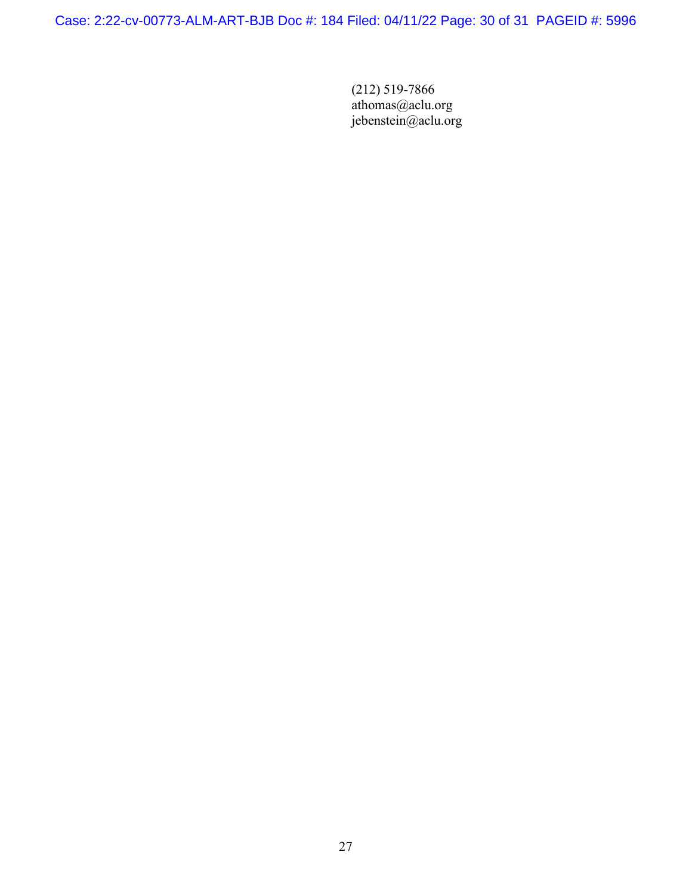Case: 2:22-cv-00773-ALM-ART-BJB Doc #: 184 Filed: 04/11/22 Page: 30 of 31 PAGEID #: 5996

(212) 519-7866 athomas@aclu.org jebenstein@aclu.org